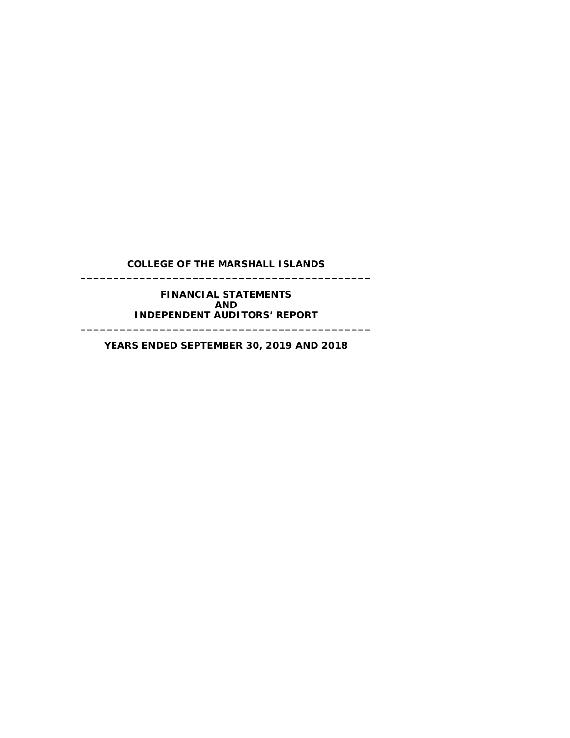# **COLLEGE OF THE MARSHALL ISLANDS \_\_\_\_\_\_\_\_\_\_\_\_\_\_\_\_\_\_\_\_\_\_\_\_\_\_\_\_\_\_\_\_\_\_\_\_\_\_\_\_\_\_\_\_**

**FINANCIAL STATEMENTS AND INDEPENDENT AUDITORS' REPORT**

**YEARS ENDED SEPTEMBER 30, 2019 AND 2018**

**\_\_\_\_\_\_\_\_\_\_\_\_\_\_\_\_\_\_\_\_\_\_\_\_\_\_\_\_\_\_\_\_\_\_\_\_\_\_\_\_\_\_\_\_**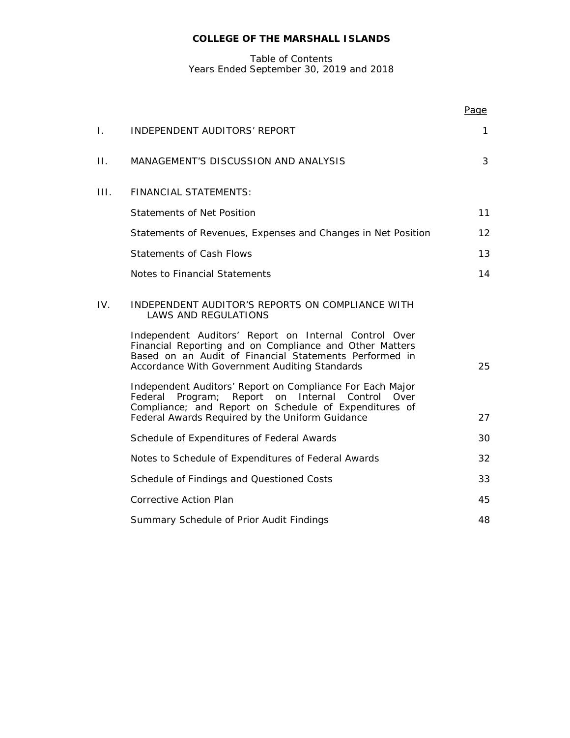# Table of Contents Years Ended September 30, 2019 and 2018

|          |                                                                                                                                                                                                                                          | Page |
|----------|------------------------------------------------------------------------------------------------------------------------------------------------------------------------------------------------------------------------------------------|------|
| I.       | <b>INDEPENDENT AUDITORS' REPORT</b>                                                                                                                                                                                                      | 1    |
| Н.       | MANAGEMENT'S DISCUSSION AND ANALYSIS                                                                                                                                                                                                     | 3    |
| Ш.       | <b>FINANCIAL STATEMENTS:</b>                                                                                                                                                                                                             |      |
|          | <b>Statements of Net Position</b>                                                                                                                                                                                                        | 11   |
|          | Statements of Revenues, Expenses and Changes in Net Position                                                                                                                                                                             | 12   |
|          | <b>Statements of Cash Flows</b>                                                                                                                                                                                                          | 13   |
|          | Notes to Financial Statements                                                                                                                                                                                                            | 14   |
| $IV_{-}$ | INDEPENDENT AUDITOR'S REPORTS ON COMPLIANCE WITH<br><b>LAWS AND REGULATIONS</b>                                                                                                                                                          |      |
|          | Independent Auditors' Report on Internal Control Over<br>Financial Reporting and on Compliance and Other Matters<br>Based on an Audit of Financial Statements Performed in<br>Accordance With Government Auditing Standards              | 25   |
|          | Independent Auditors' Report on Compliance For Each Major<br>Federal<br>Report on<br>Internal<br>Program;<br>Control<br>Over<br>Compliance; and Report on Schedule of Expenditures of<br>Federal Awards Required by the Uniform Guidance | 27   |
|          | Schedule of Expenditures of Federal Awards                                                                                                                                                                                               | 30   |
|          | Notes to Schedule of Expenditures of Federal Awards                                                                                                                                                                                      | 32   |
|          | Schedule of Findings and Questioned Costs                                                                                                                                                                                                | 33   |
|          | <b>Corrective Action Plan</b>                                                                                                                                                                                                            | 45   |
|          | Summary Schedule of Prior Audit Findings                                                                                                                                                                                                 | 48   |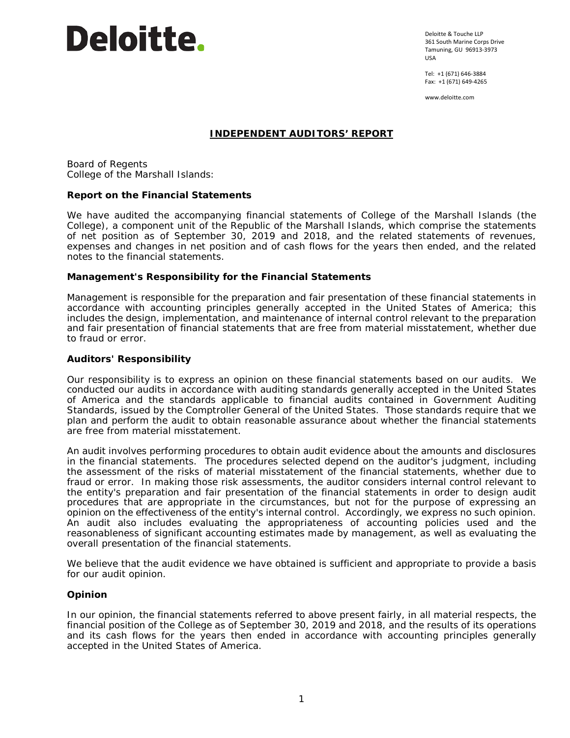# **Deloitte.**

Deloitte & Touche LLP 361 South Marine Corps Drive Tamuning, GU 96913-3973 USA

Tel: +1 (671) 646-3884 Fax: +1 (671) 649-4265

www.deloitte.com

# **INDEPENDENT AUDITORS' REPORT**

Board of Regents College of the Marshall Islands:

# **Report on the Financial Statements**

We have audited the accompanying financial statements of College of the Marshall Islands (the College), a component unit of the Republic of the Marshall Islands, which comprise the statements of net position as of September 30, 2019 and 2018, and the related statements of revenues, expenses and changes in net position and of cash flows for the years then ended, and the related notes to the financial statements.

# *Management's Responsibility for the Financial Statements*

Management is responsible for the preparation and fair presentation of these financial statements in accordance with accounting principles generally accepted in the United States of America; this includes the design, implementation, and maintenance of internal control relevant to the preparation and fair presentation of financial statements that are free from material misstatement, whether due to fraud or error.

# *Auditors' Responsibility*

Our responsibility is to express an opinion on these financial statements based on our audits. We conducted our audits in accordance with auditing standards generally accepted in the United States of America and the standards applicable to financial audits contained in *Government Auditing Standards,* issued by the Comptroller General of the United States. Those standards require that we plan and perform the audit to obtain reasonable assurance about whether the financial statements are free from material misstatement.

An audit involves performing procedures to obtain audit evidence about the amounts and disclosures in the financial statements. The procedures selected depend on the auditor's judgment, including the assessment of the risks of material misstatement of the financial statements, whether due to fraud or error. In making those risk assessments, the auditor considers internal control relevant to the entity's preparation and fair presentation of the financial statements in order to design audit procedures that are appropriate in the circumstances, but not for the purpose of expressing an opinion on the effectiveness of the entity's internal control. Accordingly, we express no such opinion. An audit also includes evaluating the appropriateness of accounting policies used and the reasonableness of significant accounting estimates made by management, as well as evaluating the overall presentation of the financial statements.

We believe that the audit evidence we have obtained is sufficient and appropriate to provide a basis for our audit opinion.

# *Opinion*

In our opinion, the financial statements referred to above present fairly, in all material respects, the financial position of the College as of September 30, 2019 and 2018, and the results of its operations and its cash flows for the years then ended in accordance with accounting principles generally accepted in the United States of America.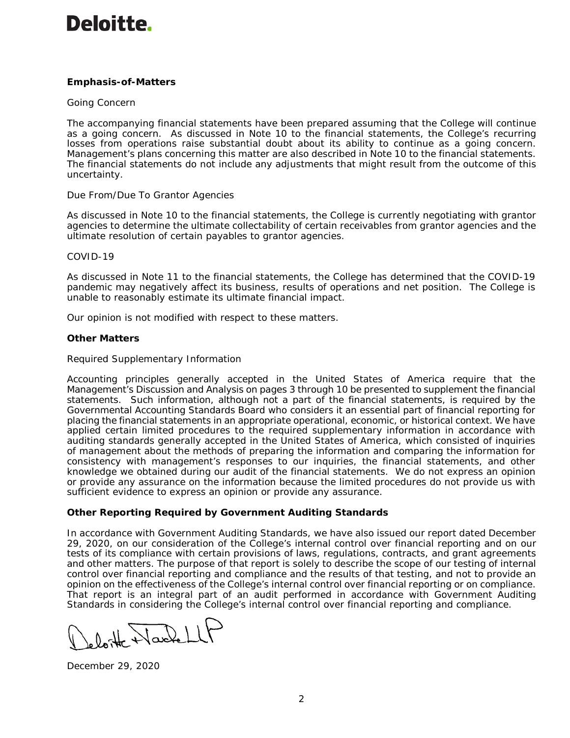# Deloitte.

# *Emphasis-of-Matters*

# *Going Concern*

The accompanying financial statements have been prepared assuming that the College will continue as a going concern. As discussed in Note 10 to the financial statements, the College's recurring losses from operations raise substantial doubt about its ability to continue as a going concern. Management's plans concerning this matter are also described in Note 10 to the financial statements. The financial statements do not include any adjustments that might result from the outcome of this uncertainty.

# *Due From/Due To Grantor Agencies*

As discussed in Note 10 to the financial statements, the College is currently negotiating with grantor agencies to determine the ultimate collectability of certain receivables from grantor agencies and the ultimate resolution of certain payables to grantor agencies.

# *COVID-19*

As discussed in Note 11 to the financial statements, the College has determined that the COVID-19 pandemic may negatively affect its business, results of operations and net position. The College is unable to reasonably estimate its ultimate financial impact.

Our opinion is not modified with respect to these matters.

# *Other Matters*

# *Required Supplementary Information*

Accounting principles generally accepted in the United States of America require that the Management's Discussion and Analysis on pages 3 through 10 be presented to supplement the financial statements. Such information, although not a part of the financial statements, is required by the Governmental Accounting Standards Board who considers it an essential part of financial reporting for placing the financial statements in an appropriate operational, economic, or historical context. We have applied certain limited procedures to the required supplementary information in accordance with auditing standards generally accepted in the United States of America, which consisted of inquiries of management about the methods of preparing the information and comparing the information for consistency with management's responses to our inquiries, the financial statements, and other knowledge we obtained during our audit of the financial statements. We do not express an opinion or provide any assurance on the information because the limited procedures do not provide us with sufficient evidence to express an opinion or provide any assurance.

# **Other Reporting Required by** *Government Auditing Standards*

In accordance with *Government Auditing Standards*, we have also issued our report dated December 29, 2020, on our consideration of the College's internal control over financial reporting and on our tests of its compliance with certain provisions of laws, regulations, contracts, and grant agreements and other matters. The purpose of that report is solely to describe the scope of our testing of internal control over financial reporting and compliance and the results of that testing, and not to provide an opinion on the effectiveness of the College's internal control over financial reporting or on compliance. That report is an integral part of an audit performed in accordance with *Government Auditing Standards* in considering the College's internal control over financial reporting and compliance.

lotte Harle

December 29, 2020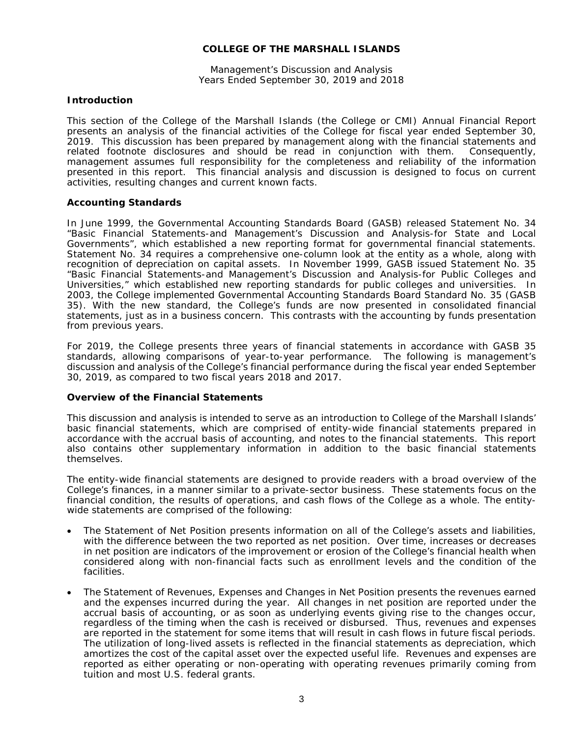Management's Discussion and Analysis Years Ended September 30, 2019 and 2018

# *Introduction*

This section of the College of the Marshall Islands (the College or CMI) Annual Financial Report presents an analysis of the financial activities of the College for fiscal year ended September 30, 2019. This discussion has been prepared by management along with the financial statements and related footnote disclosures and should be read in conjunction with them. Consequently, management assumes full responsibility for the completeness and reliability of the information presented in this report. This financial analysis and discussion is designed to focus on current activities, resulting changes and current known facts.

# *Accounting Standards*

In June 1999, the Governmental Accounting Standards Board (GASB) released Statement No. 34 "*Basic Financial Statements-and Management's Discussion and Analysis-for State and Local Governments*", which established a new reporting format for governmental financial statements. Statement No. 34 requires a comprehensive one-column look at the entity as a whole, along with recognition of depreciation on capital assets. In November 1999, GASB issued Statement No. 35 "*Basic Financial Statements-and Management's Discussion and Analysis-for Public Colleges and Universities*," which established new reporting standards for public colleges and universities. In 2003, the College implemented Governmental Accounting Standards Board Standard No. 35 (GASB 35). With the new standard, the College's funds are now presented in consolidated financial statements, just as in a business concern. This contrasts with the accounting by funds presentation from previous years.

For 2019, the College presents three years of financial statements in accordance with GASB 35 standards, allowing comparisons of year-to-year performance. The following is management's discussion and analysis of the College's financial performance during the fiscal year ended September 30, 2019, as compared to two fiscal years 2018 and 2017.

# *Overview of the Financial Statements*

This discussion and analysis is intended to serve as an introduction to College of the Marshall Islands' basic financial statements, which are comprised of entity-wide financial statements prepared in accordance with the accrual basis of accounting, and notes to the financial statements. This report also contains other supplementary information in addition to the basic financial statements themselves.

The entity-wide financial statements are designed to provide readers with a broad overview of the College's finances, in a manner similar to a private-sector business. These statements focus on the financial condition, the results of operations, and cash flows of the College as a whole. The entitywide statements are comprised of the following:

- The *Statement of Net Position* presents information on all of the College's assets and liabilities, with the difference between the two reported as net position. Over time, increases or decreases in net position are indicators of the improvement or erosion of the College's financial health when considered along with non-financial facts such as enrollment levels and the condition of the facilities.
- The *Statement of Revenues, Expenses and Changes in Net Position* presents the revenues earned and the expenses incurred during the year. All changes in net position are reported under the accrual basis of accounting, or as soon as underlying events giving rise to the changes occur, regardless of the timing when the cash is received or disbursed. Thus, revenues and expenses are reported in the statement for some items that will result in cash flows in future fiscal periods. The utilization of long-lived assets is reflected in the financial statements as depreciation, which amortizes the cost of the capital asset over the expected useful life. Revenues and expenses are reported as either operating or non-operating with operating revenues primarily coming from tuition and most U.S. federal grants.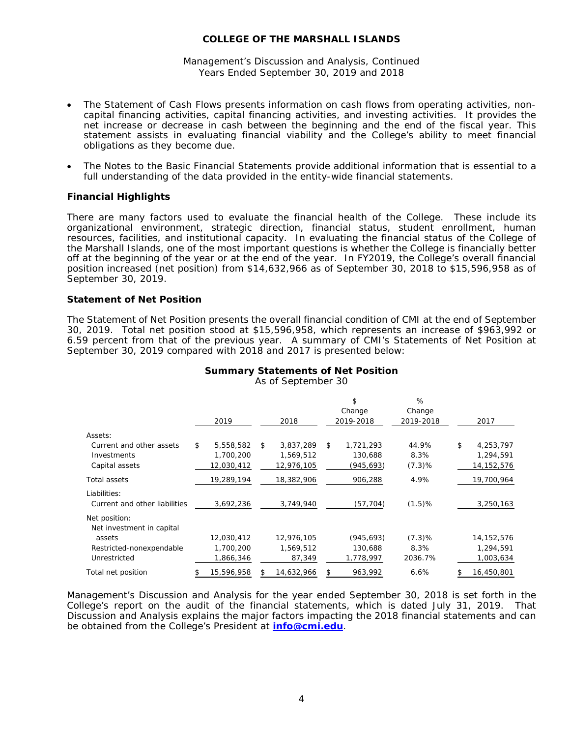Management's Discussion and Analysis, Continued Years Ended September 30, 2019 and 2018

- The *Statement of Cash Flows* presents information on cash flows from operating activities, noncapital financing activities, capital financing activities, and investing activities. It provides the net increase or decrease in cash between the beginning and the end of the fiscal year. This statement assists in evaluating financial viability and the College's ability to meet financial obligations as they become due.
- The Notes to the Basic Financial Statements provide additional information that is essential to a full understanding of the data provided in the entity-wide financial statements.

# *Financial Highlights*

There are many factors used to evaluate the financial health of the College. These include its organizational environment, strategic direction, financial status, student enrollment, human resources, facilities, and institutional capacity. In evaluating the financial status of the College of the Marshall Islands, one of the most important questions is whether the College is financially better off at the beginning of the year or at the end of the year. In FY2019, the College's overall financial position increased (net position) from \$14,632,966 as of September 30, 2018 to \$15,596,958 as of September 30, 2019.

# *Statement of Net Position*

The Statement of Net Position presents the overall financial condition of CMI at the end of September 30, 2019. Total net position stood at \$15,596,958, which represents an increase of \$963,992 or 6.59 percent from that of the previous year. A summary of CMI's Statements of Net Position at September 30, 2019 compared with 2018 and 2017 is presented below:

|                                               | 2019             |    | 2018       | \$<br>Change<br>2019-2018 | %<br>Change<br>2019-2018 | 2017             |
|-----------------------------------------------|------------------|----|------------|---------------------------|--------------------------|------------------|
| Assets:                                       |                  |    |            |                           |                          |                  |
| Current and other assets                      | \$<br>5,558,582  | \$ | 3,837,289  | \$<br>1,721,293           | 44.9%                    | \$<br>4,253,797  |
| Investments                                   | 1,700,200        |    | 1,569,512  | 130,688                   | 8.3%                     | 1,294,591        |
| Capital assets                                | 12,030,412       |    | 12,976,105 | (945,693)                 | (7.3)%                   | 14, 152, 576     |
| Total assets                                  | 19,289,194       |    | 18,382,906 | 906,288                   | 4.9%                     | 19,700,964       |
| Liabilities:<br>Current and other liabilities | 3,692,236        |    | 3,749,940  | (57, 704)                 | (1.5)%                   | 3,250,163        |
| Net position:<br>Net investment in capital    |                  |    |            |                           |                          |                  |
| assets                                        | 12,030,412       |    | 12,976,105 | (945, 693)                | (7.3)%                   | 14, 152, 576     |
| Restricted-nonexpendable                      | 1,700,200        |    | 1,569,512  | 130,688                   | 8.3%                     | 1,294,591        |
| Unrestricted                                  | 1,866,346        |    | 87,349     | 1,778,997                 | 2036.7%                  | 1,003,634        |
| Total net position                            | \$<br>15,596,958 | S  | 14,632,966 | \$<br>963,992             | 6.6%                     | \$<br>16,450,801 |

#### **Summary Statements of Net Position** As of September 30

Management's Discussion and Analysis for the year ended September 30, 2018 is set forth in the College's report on the audit of the financial statements, which is dated July 31, 2019. That Discussion and Analysis explains the major factors impacting the 2018 financial statements and can be obtained from the College's President at **info@cmi.edu**.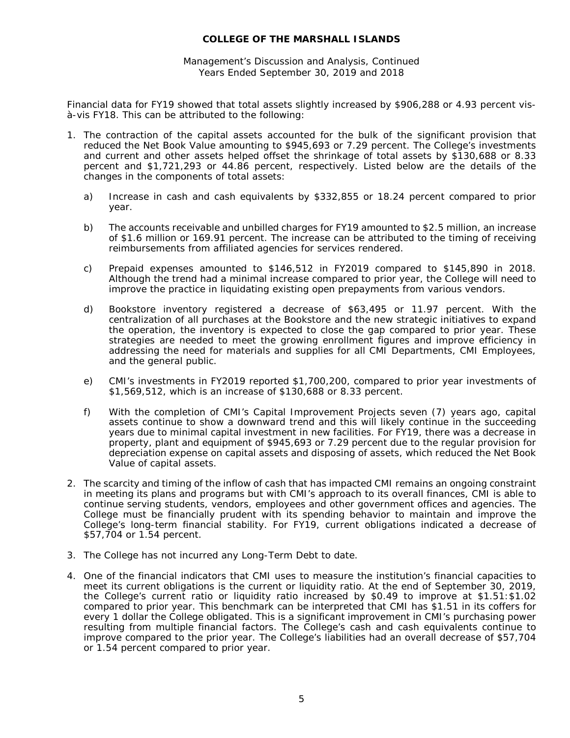Management's Discussion and Analysis, Continued Years Ended September 30, 2019 and 2018

Financial data for FY19 showed that total assets slightly increased by \$906,288 or 4.93 percent visà-vis FY18. This can be attributed to the following:

- 1. The contraction of the capital assets accounted for the bulk of the significant provision that reduced the Net Book Value amounting to \$945,693 or 7.29 percent. The College's investments and current and other assets helped offset the shrinkage of total assets by \$130,688 or 8.33 percent and \$1,721,293 or 44.86 percent, respectively. Listed below are the details of the changes in the components of total assets:
	- a) Increase in cash and cash equivalents by \$332,855 or 18.24 percent compared to prior year.
	- b) The accounts receivable and unbilled charges for FY19 amounted to \$2.5 million, an increase of \$1.6 million or 169.91 percent. The increase can be attributed to the timing of receiving reimbursements from affiliated agencies for services rendered.
	- c) Prepaid expenses amounted to \$146,512 in FY2019 compared to \$145,890 in 2018. Although the trend had a minimal increase compared to prior year, the College will need to improve the practice in liquidating existing open prepayments from various vendors.
	- d) Bookstore inventory registered a decrease of \$63,495 or 11.97 percent. With the centralization of all purchases at the Bookstore and the new strategic initiatives to expand the operation, the inventory is expected to close the gap compared to prior year. These strategies are needed to meet the growing enrollment figures and improve efficiency in addressing the need for materials and supplies for all CMI Departments, CMI Employees, and the general public.
	- e) CMI's investments in FY2019 reported \$1,700,200, compared to prior year investments of \$1,569,512, which is an increase of \$130,688 or 8.33 percent.
	- f) With the completion of CMI's Capital Improvement Projects seven (7) years ago, capital assets continue to show a downward trend and this will likely continue in the succeeding years due to minimal capital investment in new facilities. For FY19, there was a decrease in property, plant and equipment of \$945,693 or 7.29 percent due to the regular provision for depreciation expense on capital assets and disposing of assets, which reduced the Net Book Value of capital assets.
- 2. The scarcity and timing of the inflow of cash that has impacted CMI remains an ongoing constraint in meeting its plans and programs but with CMI's approach to its overall finances, CMI is able to continue serving students, vendors, employees and other government offices and agencies. The College must be financially prudent with its spending behavior to maintain and improve the College's long-term financial stability. For FY19, current obligations indicated a decrease of \$57,704 or 1.54 percent.
- 3. The College has not incurred any Long-Term Debt to date.
- 4. One of the financial indicators that CMI uses to measure the institution's financial capacities to meet its current obligations is the current or liquidity ratio. At the end of September 30, 2019, the College's current ratio or liquidity ratio increased by \$0.49 to improve at \$1.51:\$1.02 compared to prior year. This benchmark can be interpreted that CMI has \$1.51 in its coffers for every 1 dollar the College obligated. This is a significant improvement in CMI's purchasing power resulting from multiple financial factors. The College's cash and cash equivalents continue to improve compared to the prior year. The College's liabilities had an overall decrease of \$57,704 or 1.54 percent compared to prior year.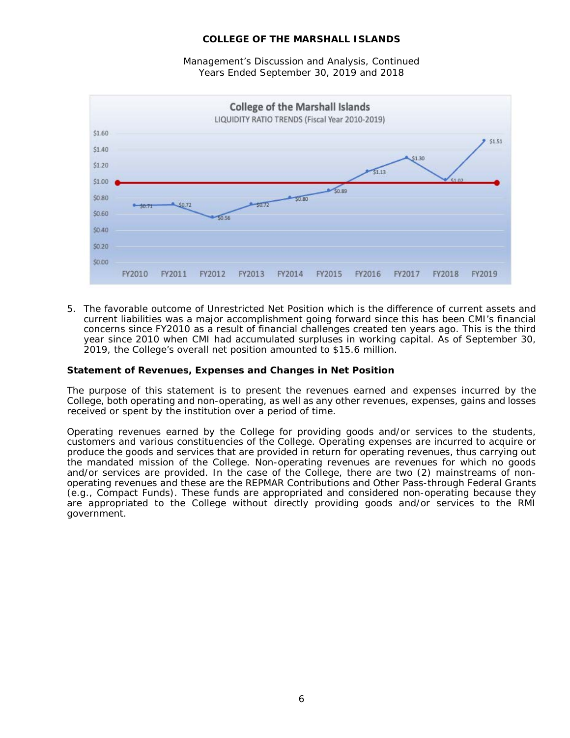Management's Discussion and Analysis, Continued Years Ended September 30, 2019 and 2018



5. The favorable outcome of Unrestricted Net Position which is the difference of current assets and current liabilities was a major accomplishment going forward since this has been CMI's financial concerns since FY2010 as a result of financial challenges created ten years ago. This is the third year since 2010 when CMI had accumulated surpluses in working capital. As of September 30, 2019, the College's overall net position amounted to \$15.6 million.

# *Statement of Revenues, Expenses and Changes in Net Position*

The purpose of this statement is to present the revenues earned and expenses incurred by the College, both operating and non-operating, as well as any other revenues, expenses, gains and losses received or spent by the institution over a period of time.

Operating revenues earned by the College for providing goods and/or services to the students, customers and various constituencies of the College. Operating expenses are incurred to acquire or produce the goods and services that are provided in return for operating revenues, thus carrying out the mandated mission of the College. Non-operating revenues are revenues for which no goods and/or services are provided. In the case of the College, there are two (2) mainstreams of nonoperating revenues and these are the REPMAR Contributions and Other Pass-through Federal Grants (e.g., Compact Funds). These funds are appropriated and considered non-operating because they are appropriated to the College without directly providing goods and/or services to the RMI government.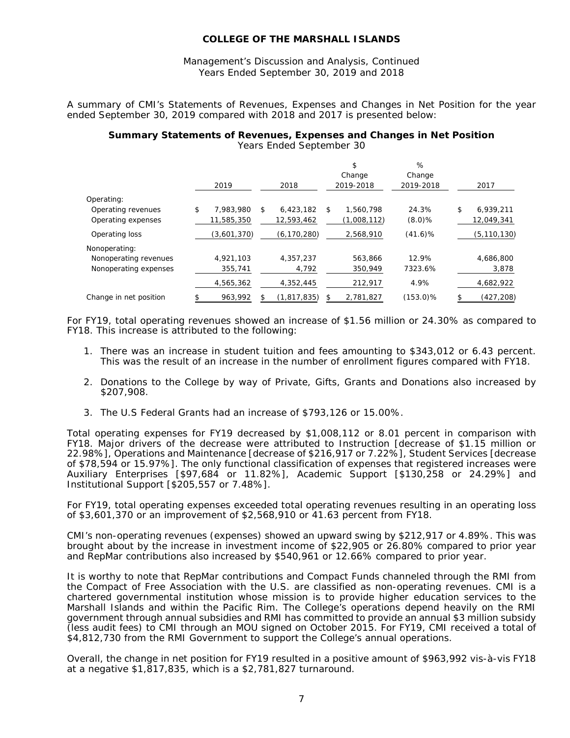# Management's Discussion and Analysis, Continued Years Ended September 30, 2019 and 2018

A summary of CMI's Statements of Revenues, Expenses and Changes in Net Position for the year ended September 30, 2019 compared with 2018 and 2017 is presented below:

|                                                                 | 2019                          | 2018                          | \$<br>Change<br>2019-2018      | %<br>Change<br>2019-2018 | 2017                          |
|-----------------------------------------------------------------|-------------------------------|-------------------------------|--------------------------------|--------------------------|-------------------------------|
| Operating:<br>Operating revenues<br>Operating expenses          | \$<br>7,983,980<br>11,585,350 | \$<br>6,423,182<br>12,593,462 | \$<br>1,560,798<br>(1,008,112) | 24.3%<br>$(8.0)$ %       | \$<br>6,939,211<br>12,049,341 |
| Operating loss                                                  | (3,601,370)                   | (6, 170, 280)                 | 2,568,910                      | $(41.6)$ %               | (5, 110, 130)                 |
| Nonoperating:<br>Nonoperating revenues<br>Nonoperating expenses | 4,921,103<br>355,741          | 4,357,237<br>4,792            | 563,866<br>350,949             | 12.9%<br>7323.6%         | 4,686,800<br>3,878            |
|                                                                 | 4,565,362                     | 4,352,445                     | 212,917                        | 4.9%                     | 4,682,922                     |
| Change in net position                                          | 963,992                       | (1, 817, 835)                 | \$<br>2,781,827                | $(153.0)\%$              | (427, 208)                    |

## **Summary Statements of Revenues, Expenses and Changes in Net Position** Years Ended September 30

For FY19, total operating revenues showed an increase of \$1.56 million or 24.30% as compared to FY18. This increase is attributed to the following:

- 1. There was an increase in student tuition and fees amounting to \$343,012 or 6.43 percent. This was the result of an increase in the number of enrollment figures compared with FY18.
- 2. Donations to the College by way of Private, Gifts, Grants and Donations also increased by \$207,908.
- 3. The U.S Federal Grants had an increase of \$793,126 or 15.00%.

Total operating expenses for FY19 decreased by \$1,008,112 or 8.01 percent in comparison with FY18. Major drivers of the decrease were attributed to Instruction [decrease of \$1.15 million or 22.98%], Operations and Maintenance [decrease of \$216,917 or 7.22%], Student Services [decrease of \$78,594 or 15.97%]. The only functional classification of expenses that registered increases were Auxiliary Enterprises [\$97,684 or 11.82%], Academic Support [\$130,258 or 24.29%] and Institutional Support [\$205,557 or 7.48%].

For FY19, total operating expenses exceeded total operating revenues resulting in an operating loss of \$3,601,370 or an improvement of \$2,568,910 or 41.63 percent from FY18.

CMI's non-operating revenues (expenses) showed an upward swing by \$212,917 or 4.89%. This was brought about by the increase in investment income of \$22,905 or 26.80% compared to prior year and RepMar contributions also increased by \$540,961 or 12.66% compared to prior year.

It is worthy to note that RepMar contributions and Compact Funds channeled through the RMI from the Compact of Free Association with the U.S. are classified as non-operating revenues. CMI is a chartered governmental institution whose mission is to provide higher education services to the Marshall Islands and within the Pacific Rim. The College's operations depend heavily on the RMI government through annual subsidies and RMI has committed to provide an annual \$3 million subsidy (less audit fees) to CMI through an MOU signed on October 2015. For FY19, CMI received a total of \$4,812,730 from the RMI Government to support the College's annual operations.

Overall, the change in net position for FY19 resulted in a positive amount of \$963,992 vis-à-vis FY18 at a negative \$1,817,835, which is a \$2,781,827 turnaround.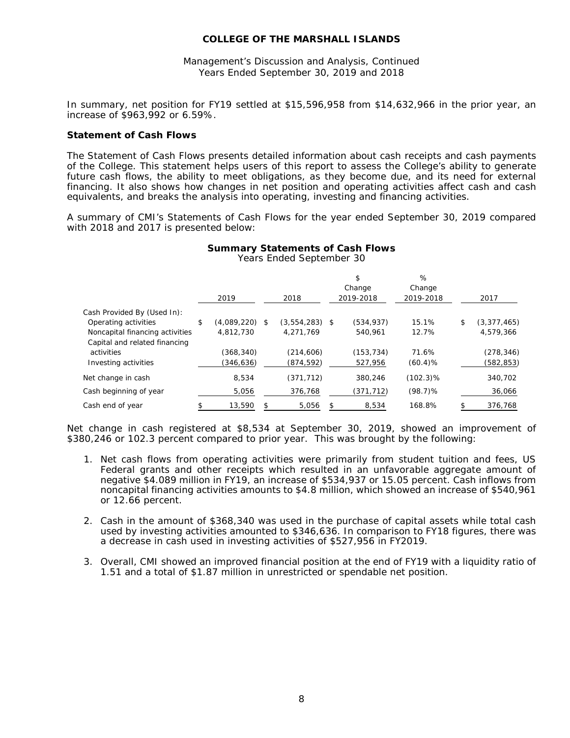Management's Discussion and Analysis, Continued Years Ended September 30, 2019 and 2018

In summary, net position for FY19 settled at \$15,596,958 from \$14,632,966 in the prior year, an increase of \$963,992 or 6.59%.

# *Statement of Cash Flows*

The Statement of Cash Flows presents detailed information about cash receipts and cash payments of the College. This statement helps users of this report to assess the College's ability to generate future cash flows, the ability to meet obligations, as they become due, and its need for external financing. It also shows how changes in net position and operating activities affect cash and cash equivalents, and breaks the analysis into operating, investing and financing activities.

A summary of CMI's Statements of Cash Flows for the year ended September 30, 2019 compared with 2018 and 2017 is presented below:

#### **Summary Statements of Cash Flows** Years Ended September 30

|                                 | 2019              |     | 2018             | \$<br>Change<br>2019-2018 | %<br>Change<br>2019-2018 | 2017                |
|---------------------------------|-------------------|-----|------------------|---------------------------|--------------------------|---------------------|
| Cash Provided By (Used In):     |                   |     |                  |                           |                          |                     |
| Operating activities            | \$<br>(4,089,220) | \$  | $(3,554,283)$ \$ | (534, 937)                | 15.1%                    | \$<br>(3, 377, 465) |
| Noncapital financing activities | 4,812,730         |     | 4.271.769        | 540.961                   | 12.7%                    | 4,579,366           |
| Capital and related financing   |                   |     |                  |                           |                          |                     |
| activities                      | (368, 340)        |     | (214, 606)       | (153, 734)                | 71.6%                    | (278, 346)          |
| Investing activities            | (346, 636)        |     | (874, 592)       | 527.956                   | $(60.4)$ %               | (582, 853)          |
| Net change in cash              | 8,534             |     | (371, 712)       | 380.246                   | $(102.3)\%$              | 340,702             |
| Cash beginning of year          | 5,056             |     | 376,768          | (371,712)                 | $(98.7)$ %               | 36,066              |
| Cash end of year                | 13,590            | \$. | 5.056            | 8,534                     | 168.8%                   | 376,768             |

Net change in cash registered at \$8,534 at September 30, 2019, showed an improvement of \$380,246 or 102.3 percent compared to prior year. This was brought by the following:

- 1. Net cash flows from operating activities were primarily from student tuition and fees, US Federal grants and other receipts which resulted in an unfavorable aggregate amount of negative \$4.089 million in FY19, an increase of \$534,937 or 15.05 percent. Cash inflows from noncapital financing activities amounts to \$4.8 million, which showed an increase of \$540,961 or 12.66 percent.
- 2. Cash in the amount of \$368,340 was used in the purchase of capital assets while total cash used by investing activities amounted to \$346,636. In comparison to FY18 figures, there was a decrease in cash used in investing activities of \$527,956 in FY2019.
- 3. Overall, CMI showed an improved financial position at the end of FY19 with a liquidity ratio of 1.51 and a total of \$1.87 million in unrestricted or spendable net position.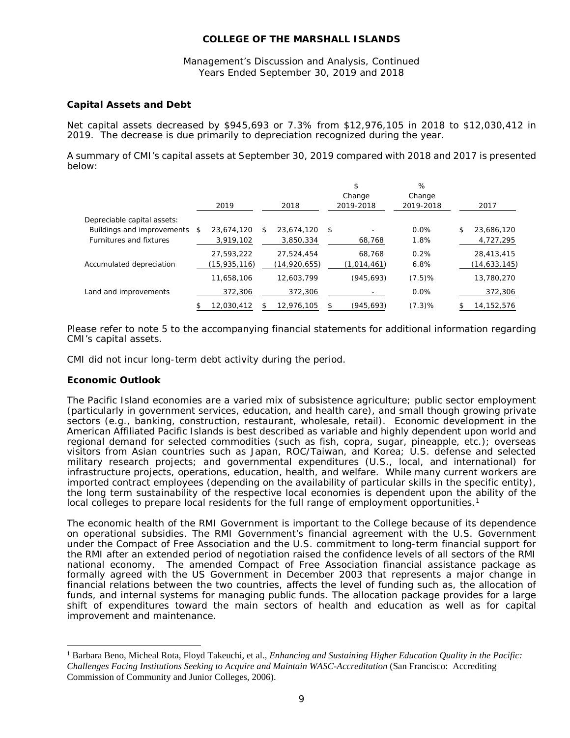Management's Discussion and Analysis, Continued Years Ended September 30, 2019 and 2018

# *Capital Assets and Debt*

Net capital assets decreased by \$945,693 or 7.3% from \$12,976,105 in 2018 to \$12,030,412 in 2019. The decrease is due primarily to depreciation recognized during the year.

A summary of CMI's capital assets at September 30, 2019 compared with 2018 and 2017 is presented below:

|                             | 2019             |   | 2018           |            | \$<br>Change<br>2019-2018 | %<br>Change<br>2019-2018 | 2017             |
|-----------------------------|------------------|---|----------------|------------|---------------------------|--------------------------|------------------|
| Depreciable capital assets: |                  |   |                |            |                           |                          |                  |
| Buildings and improvements  | \$<br>23,674,120 | S | 23,674,120     | $^{\circ}$ |                           | 0.0%                     | \$<br>23,686,120 |
| Furnitures and fixtures     | 3,919,102        |   | 3,850,334      |            | 68,768                    | 1.8%                     | 4,727,295        |
|                             | 27,593,222       |   | 27.524.454     |            | 68.768                    | 0.2%                     | 28,413,415       |
| Accumulated depreciation    | (15,935,116)     |   | (14, 920, 655) |            | (1,014,461)               | 6.8%                     | (14,633,145)     |
|                             | 11,658,106       |   | 12,603,799     |            | (945, 693)                | (7.5)%                   | 13,780,270       |
| Land and improvements       | 372,306          |   | 372,306        |            |                           | 0.0%                     | 372,306          |
|                             | 12,030,412       |   | 12,976,105     |            | (945,693)                 | (7.3)%                   | 14, 152, 576     |

Please refer to note 5 to the accompanying financial statements for additional information regarding CMI's capital assets.

CMI did not incur long-term debt activity during the period.

# *Economic Outlook*

The Pacific Island economies are a varied mix of subsistence agriculture; public sector employment (particularly in government services, education, and health care), and small though growing private sectors (e.g., banking, construction, restaurant, wholesale, retail). Economic development in the American Affiliated Pacific Islands is best described as variable and highly dependent upon world and regional demand for selected commodities (such as fish, copra, sugar, pineapple, etc.); overseas visitors from Asian countries such as Japan, ROC/Taiwan, and Korea; U.S. defense and selected military research projects; and governmental expenditures (U.S., local, and international) for infrastructure projects, operations, education, health, and welfare. While many current workers are imported contract employees (depending on the availability of particular skills in the specific entity), the long term sustainability of the respective local economies is dependent upon the ability of the local colleges to prepare local residents for the full range of employment opportunities.<sup>[1](#page-10-0)</sup>

The economic health of the RMI Government is important to the College because of its dependence on operational subsidies. The RMI Government's financial agreement with the U.S. Government under the Compact of Free Association and the U.S. commitment to long-term financial support for the RMI after an extended period of negotiation raised the confidence levels of all sectors of the RMI national economy. The amended Compact of Free Association financial assistance package as formally agreed with the US Government in December 2003 that represents a major change in financial relations between the two countries, affects the level of funding such as, the allocation of funds, and internal systems for managing public funds. The allocation package provides for a large shift of expenditures toward the main sectors of health and education as well as for capital improvement and maintenance.

<span id="page-10-0"></span> <sup>1</sup> Barbara Beno, Micheal Rota, Floyd Takeuchi, et al., *Enhancing and Sustaining Higher Education Quality in the Pacific: Challenges Facing Institutions Seeking to Acquire and Maintain WASC-Accreditation* (San Francisco: Accrediting Commission of Community and Junior Colleges, 2006).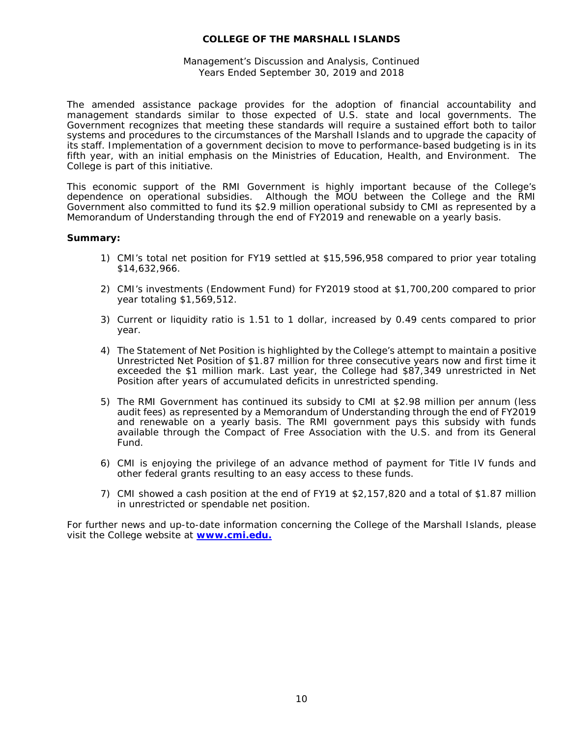# Management's Discussion and Analysis, Continued Years Ended September 30, 2019 and 2018

The amended assistance package provides for the adoption of financial accountability and management standards similar to those expected of U.S. state and local governments. The Government recognizes that meeting these standards will require a sustained effort both to tailor systems and procedures to the circumstances of the Marshall Islands and to upgrade the capacity of its staff. Implementation of a government decision to move to performance-based budgeting is in its fifth year, with an initial emphasis on the Ministries of Education, Health, and Environment. The College is part of this initiative.

This economic support of the RMI Government is highly important because of the College's dependence on operational subsidies. Although the MOU between the College and the RMI Government also committed to fund its \$2.9 million operational subsidy to CMI as represented by a Memorandum of Understanding through the end of FY2019 and renewable on a yearly basis.

# *Summary:*

- 1) CMI's total net position for FY19 settled at \$15,596,958 compared to prior year totaling \$14,632,966.
- 2) CMI's investments (Endowment Fund) for FY2019 stood at \$1,700,200 compared to prior year totaling \$1,569,512.
- 3) Current or liquidity ratio is 1.51 to 1 dollar, increased by 0.49 cents compared to prior year.
- 4) The Statement of Net Position is highlighted by the College's attempt to maintain a positive Unrestricted Net Position of \$1.87 million for three consecutive years now and first time it exceeded the \$1 million mark. Last year, the College had \$87,349 unrestricted in Net Position after years of accumulated deficits in unrestricted spending.
- 5) The RMI Government has continued its subsidy to CMI at \$2.98 million per annum (less audit fees) as represented by a Memorandum of Understanding through the end of FY2019 and renewable on a yearly basis. The RMI government pays this subsidy with funds available through the Compact of Free Association with the U.S. and from its General Fund.
- 6) CMI is enjoying the privilege of an advance method of payment for Title IV funds and other federal grants resulting to an easy access to these funds.
- 7) CMI showed a cash position at the end of FY19 at \$2,157,820 and a total of \$1.87 million in unrestricted or spendable net position.

For further news and up-to-date information concerning the College of the Marshall Islands, please visit the College website at **www.cmi.edu.**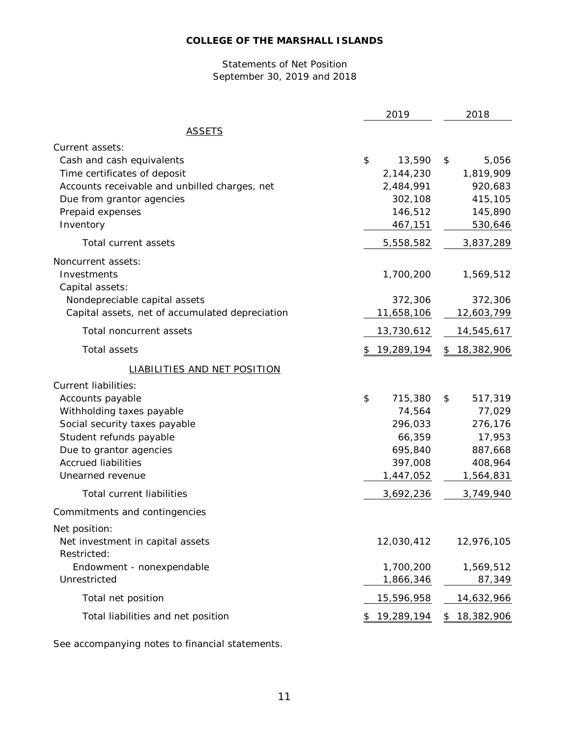# Statements of Net Position September 30, 2019 and 2018

|                                                                                                                                                                                             | 2019                                                                    | 2018                                                                 |
|---------------------------------------------------------------------------------------------------------------------------------------------------------------------------------------------|-------------------------------------------------------------------------|----------------------------------------------------------------------|
| <b>ASSETS</b>                                                                                                                                                                               |                                                                         |                                                                      |
| Current assets:<br>Cash and cash equivalents<br>Time certificates of deposit<br>Accounts receivable and unbilled charges, net<br>Due from grantor agencies<br>Prepaid expenses<br>Inventory | \$<br>13,590<br>2,144,230<br>2,484,991<br>302,108<br>146,512<br>467,151 | 5,056<br>\$<br>1,819,909<br>920,683<br>415,105<br>145,890<br>530,646 |
| Total current assets                                                                                                                                                                        | 5,558,582                                                               | 3,837,289                                                            |
| Noncurrent assets:<br>Investments<br>Capital assets:<br>Nondepreciable capital assets<br>Capital assets, net of accumulated depreciation                                                    | 1,700,200<br>372,306<br>11,658,106                                      | 1,569,512<br>372,306<br>12,603,799                                   |
| Total noncurrent assets                                                                                                                                                                     | 13,730,612                                                              | 14,545,617                                                           |
| <b>Total assets</b>                                                                                                                                                                         | 19,289,194<br>\$                                                        | 18,382,906<br>\$                                                     |
| <b>LIABILITIES AND NET POSITION</b><br>Current liabilities:<br>Accounts payable                                                                                                             | \$<br>715,380                                                           | \$<br>517,319                                                        |
| Withholding taxes payable<br>Social security taxes payable<br>Student refunds payable<br>Due to grantor agencies<br><b>Accrued liabilities</b><br>Unearned revenue                          | 74,564<br>296,033<br>66,359<br>695,840<br>397,008<br>1,447,052          | 77,029<br>276,176<br>17,953<br>887,668<br>408,964<br>1,564,831       |
| <b>Total current liabilities</b>                                                                                                                                                            | 3,692,236                                                               | 3,749,940                                                            |
| Commitments and contingencies<br>Net position:                                                                                                                                              |                                                                         |                                                                      |
| Net investment in capital assets<br>Restricted:<br>Endowment - nonexpendable<br>Unrestricted                                                                                                | 12,030,412<br>1,700,200<br>1,866,346                                    | 12,976,105<br>1,569,512<br>87,349                                    |
| Total net position                                                                                                                                                                          | 15,596,958                                                              | 14,632,966                                                           |
| Total liabilities and net position                                                                                                                                                          | <u>19,289,194</u>                                                       | \$18,382,906                                                         |
|                                                                                                                                                                                             |                                                                         |                                                                      |

See accompanying notes to financial statements.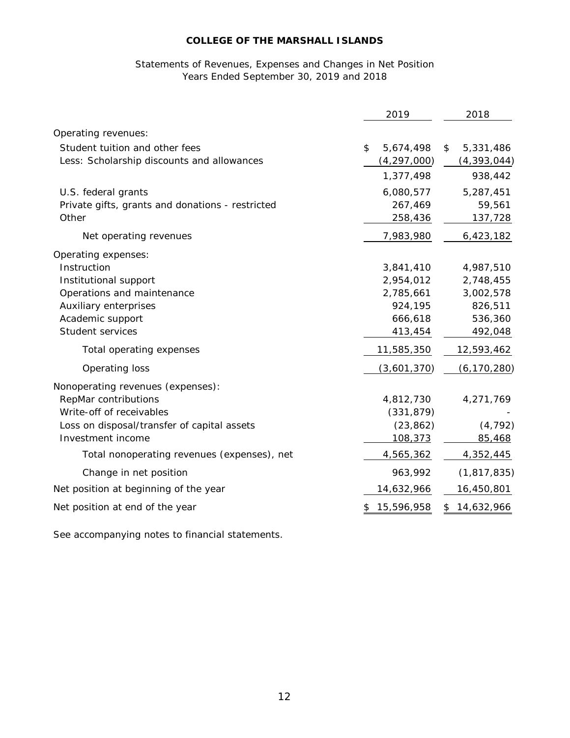# Statements of Revenues, Expenses and Changes in Net Position Years Ended September 30, 2019 and 2018

|                                                  | 2019             | 2018             |
|--------------------------------------------------|------------------|------------------|
| Operating revenues:                              |                  |                  |
| Student tuition and other fees                   | \$<br>5,674,498  | 5,331,486<br>\$  |
| Less: Scholarship discounts and allowances       | (4, 297, 000)    | (4, 393, 044)    |
|                                                  | 1,377,498        | 938,442          |
| U.S. federal grants                              | 6,080,577        | 5,287,451        |
| Private gifts, grants and donations - restricted | 267,469          | 59,561           |
| Other                                            | 258,436          | 137,728          |
| Net operating revenues                           | 7,983,980        | 6,423,182        |
| Operating expenses:                              |                  |                  |
| Instruction                                      | 3,841,410        | 4,987,510        |
| Institutional support                            | 2,954,012        | 2,748,455        |
| Operations and maintenance                       | 2,785,661        | 3,002,578        |
| Auxiliary enterprises                            | 924,195          | 826,511          |
| Academic support                                 | 666,618          | 536,360          |
| Student services                                 | 413,454          | 492,048          |
| Total operating expenses                         | 11,585,350       | 12,593,462       |
| Operating loss                                   | (3,601,370)      | (6, 170, 280)    |
| Nonoperating revenues (expenses):                |                  |                  |
| RepMar contributions                             | 4,812,730        | 4,271,769        |
| Write-off of receivables                         | (331, 879)       |                  |
| Loss on disposal/transfer of capital assets      | (23, 862)        | (4, 792)         |
| Investment income                                | 108,373          | 85,468           |
| Total nonoperating revenues (expenses), net      | 4,565,362        | 4,352,445        |
| Change in net position                           | 963,992          | (1, 817, 835)    |
| Net position at beginning of the year            | 14,632,966       | 16,450,801       |
| Net position at end of the year                  | 15,596,958<br>\$ | 14,632,966<br>\$ |

See accompanying notes to financial statements.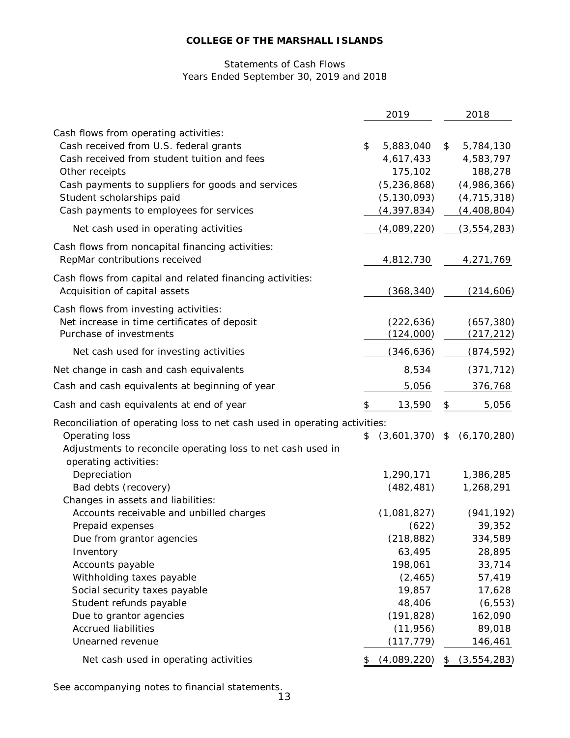# Statements of Cash Flows Years Ended September 30, 2019 and 2018

|                                                                                            | 2019              | 2018                |
|--------------------------------------------------------------------------------------------|-------------------|---------------------|
| Cash flows from operating activities:<br>Cash received from U.S. federal grants            | \$<br>5,883,040   | \$<br>5,784,130     |
| Cash received from student tuition and fees                                                | 4,617,433         | 4,583,797           |
| Other receipts                                                                             | 175,102           | 188,278             |
| Cash payments to suppliers for goods and services                                          | (5, 236, 868)     | (4,986,366)         |
| Student scholarships paid                                                                  | (5, 130, 093)     | (4, 715, 318)       |
| Cash payments to employees for services                                                    | (4, 397, 834)     | (4,408,804)         |
| Net cash used in operating activities                                                      | (4,089,220)       | (3, 554, 283)       |
| Cash flows from noncapital financing activities:<br>RepMar contributions received          | 4,812,730         | 4,271,769           |
| Cash flows from capital and related financing activities:<br>Acquisition of capital assets | (368, 340)        | (214, 606)          |
| Cash flows from investing activities:                                                      |                   |                     |
| Net increase in time certificates of deposit                                               | (222, 636)        | (657, 380)          |
| Purchase of investments                                                                    | (124,000)         | (217, 212)          |
| Net cash used for investing activities                                                     | (346,636)         | (874, 592)          |
| Net change in cash and cash equivalents                                                    | 8,534             | (371, 712)          |
| Cash and cash equivalents at beginning of year                                             | 5,056             | 376,768             |
| Cash and cash equivalents at end of year                                                   | \$<br>13,590      | \$<br>5,056         |
| Reconciliation of operating loss to net cash used in operating activities:                 |                   |                     |
| Operating loss                                                                             | \$<br>(3,601,370) | \$<br>(6, 170, 280) |
| Adjustments to reconcile operating loss to net cash used in<br>operating activities:       |                   |                     |
| Depreciation                                                                               | 1,290,171         | 1,386,285           |
| Bad debts (recovery)                                                                       | (482, 481)        | 1,268,291           |
| Changes in assets and liabilities:                                                         |                   |                     |
| Accounts receivable and unbilled charges                                                   | (1,081,827)       | (941, 192)          |
| Prepaid expenses                                                                           | (622)             | 39,352              |
| Due from grantor agencies                                                                  | (218, 882)        | 334,589             |
| Inventory                                                                                  | 63,495            | 28,895              |
| Accounts payable                                                                           | 198,061           | 33,714              |
| Withholding taxes payable                                                                  | (2, 465)          | 57,419              |
| Social security taxes payable                                                              | 19,857            | 17,628              |
| Student refunds payable                                                                    | 48,406            | (6, 553)            |
| Due to grantor agencies                                                                    | (191, 828)        | 162,090             |
| <b>Accrued liabilities</b>                                                                 | (11, 956)         | 89,018              |
| Unearned revenue                                                                           | (117, 779)        | 146,461             |
| Net cash used in operating activities                                                      | (4,089,220)       | \$<br>(3, 554, 283) |

See accompanying notes to financial statements.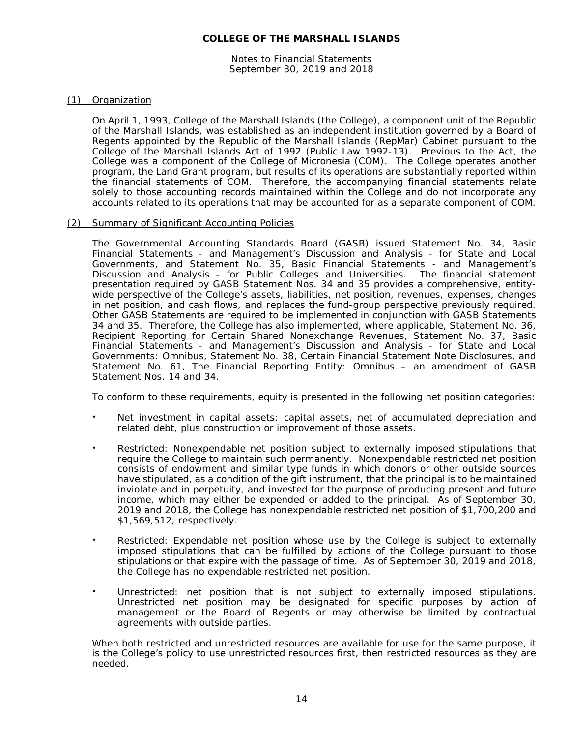Notes to Financial Statements September 30, 2019 and 2018

# (1) Organization

On April 1, 1993, College of the Marshall Islands (the College), a component unit of the Republic of the Marshall Islands, was established as an independent institution governed by a Board of Regents appointed by the Republic of the Marshall Islands (RepMar) Cabinet pursuant to the College of the Marshall Islands Act of 1992 (Public Law 1992-13). Previous to the Act, the College was a component of the College of Micronesia (COM). The College operates another program, the Land Grant program, but results of its operations are substantially reported within the financial statements of COM. Therefore, the accompanying financial statements relate solely to those accounting records maintained within the College and do not incorporate any accounts related to its operations that may be accounted for as a separate component of COM.

# (2) Summary of Significant Accounting Policies

The Governmental Accounting Standards Board (GASB) issued Statement No. 34, *Basic Financial Statements - and Management's Discussion and Analysis - for State and Local Governments*, and Statement No. 35, *Basic Financial Statements - and Management's Discussion and Analysis - for Public Colleges and Universities*. The financial statement presentation required by GASB Statement Nos. 34 and 35 provides a comprehensive, entitywide perspective of the College's assets, liabilities, net position, revenues, expenses, changes in net position, and cash flows, and replaces the fund-group perspective previously required. Other GASB Statements are required to be implemented in conjunction with GASB Statements 34 and 35. Therefore, the College has also implemented, where applicable, Statement No. 36, *Recipient Reporting for Certain Shared Nonexchange Revenues*, Statement No. 37, *Basic Financial Statements - and Management's Discussion and Analysis - for State and Local Governments: Omnibus,* Statement No. 38, *Certain Financial Statement Note Disclosures,* and Statement No. 61, *The Financial Reporting Entity: Omnibus – an amendment of GASB Statement Nos. 14 and 34.*

To conform to these requirements, equity is presented in the following net position categories:

- Net investment in capital assets: capital assets, net of accumulated depreciation and related debt, plus construction or improvement of those assets.
- Restricted: Nonexpendable net position subject to externally imposed stipulations that require the College to maintain such permanently. Nonexpendable restricted net position consists of endowment and similar type funds in which donors or other outside sources have stipulated, as a condition of the gift instrument, that the principal is to be maintained inviolate and in perpetuity, and invested for the purpose of producing present and future income, which may either be expended or added to the principal. As of September 30, 2019 and 2018, the College has nonexpendable restricted net position of \$1,700,200 and \$1,569,512, respectively.
- Restricted: Expendable net position whose use by the College is subject to externally imposed stipulations that can be fulfilled by actions of the College pursuant to those stipulations or that expire with the passage of time. As of September 30, 2019 and 2018, the College has no expendable restricted net position.
- Unrestricted: net position that is not subject to externally imposed stipulations. Unrestricted net position may be designated for specific purposes by action of management or the Board of Regents or may otherwise be limited by contractual agreements with outside parties.

When both restricted and unrestricted resources are available for use for the same purpose, it is the College's policy to use unrestricted resources first, then restricted resources as they are needed.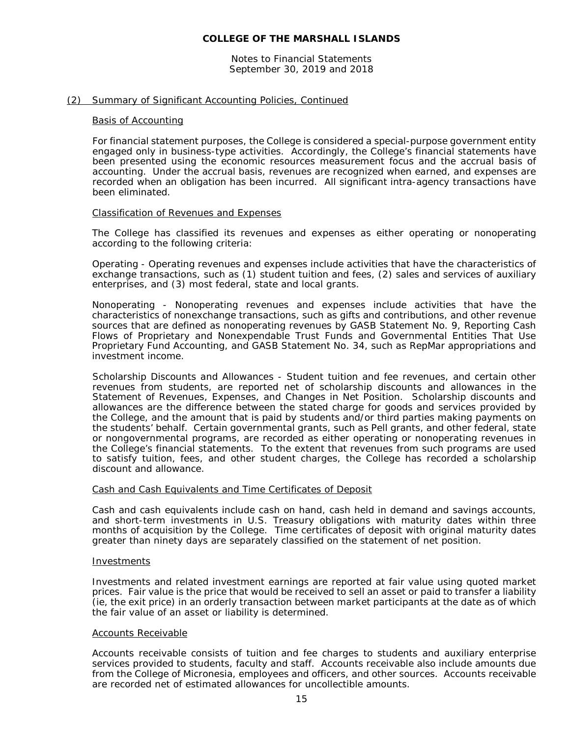Notes to Financial Statements September 30, 2019 and 2018

# (2) Summary of Significant Accounting Policies, Continued

#### Basis of Accounting

For financial statement purposes, the College is considered a special-purpose government entity engaged only in business-type activities. Accordingly, the College's financial statements have been presented using the economic resources measurement focus and the accrual basis of accounting. Under the accrual basis, revenues are recognized when earned, and expenses are recorded when an obligation has been incurred. All significant intra-agency transactions have been eliminated.

## Classification of Revenues and Expenses

The College has classified its revenues and expenses as either operating or nonoperating according to the following criteria:

*Operating* - Operating revenues and expenses include activities that have the characteristics of exchange transactions, such as (1) student tuition and fees, (2) sales and services of auxiliary enterprises, and (3) most federal, state and local grants.

*Nonoperating* - Nonoperating revenues and expenses include activities that have the characteristics of nonexchange transactions, such as gifts and contributions, and other revenue sources that are defined as nonoperating revenues by GASB Statement No. 9, *Reporting Cash Flows of Proprietary and Nonexpendable Trust Funds and Governmental Entities That Use Proprietary Fund Accounting*, and GASB Statement No. 34, such as RepMar appropriations and investment income.

*Scholarship Discounts and Allowances* - Student tuition and fee revenues, and certain other revenues from students, are reported net of scholarship discounts and allowances in the Statement of Revenues, Expenses, and Changes in Net Position. Scholarship discounts and allowances are the difference between the stated charge for goods and services provided by the College, and the amount that is paid by students and/or third parties making payments on the students' behalf. Certain governmental grants, such as Pell grants, and other federal, state or nongovernmental programs, are recorded as either operating or nonoperating revenues in the College's financial statements. To the extent that revenues from such programs are used to satisfy tuition, fees, and other student charges, the College has recorded a scholarship discount and allowance.

# Cash and Cash Equivalents and Time Certificates of Deposit

Cash and cash equivalents include cash on hand, cash held in demand and savings accounts, and short-term investments in U.S. Treasury obligations with maturity dates within three months of acquisition by the College. Time certificates of deposit with original maturity dates greater than ninety days are separately classified on the statement of net position.

#### Investments

Investments and related investment earnings are reported at fair value using quoted market prices. Fair value is the price that would be received to sell an asset or paid to transfer a liability (ie, the exit price) in an orderly transaction between market participants at the date as of which the fair value of an asset or liability is determined.

# Accounts Receivable

Accounts receivable consists of tuition and fee charges to students and auxiliary enterprise services provided to students, faculty and staff. Accounts receivable also include amounts due from the College of Micronesia, employees and officers, and other sources. Accounts receivable are recorded net of estimated allowances for uncollectible amounts.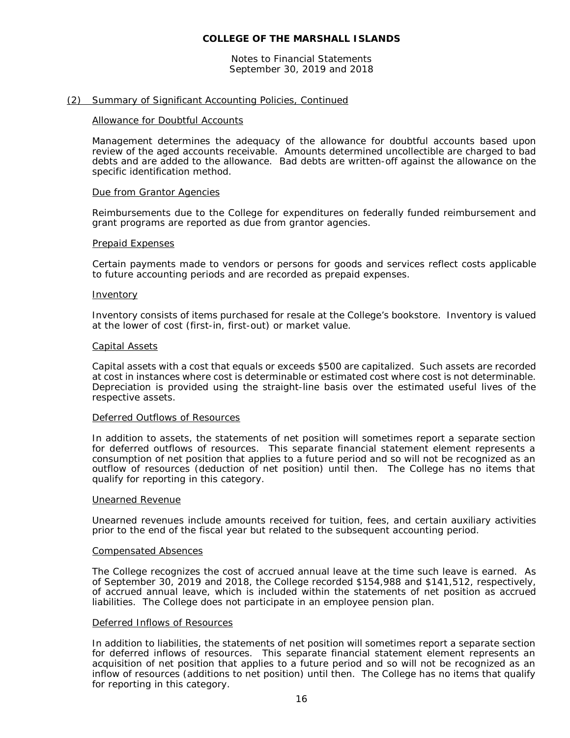Notes to Financial Statements September 30, 2019 and 2018

# (2) Summary of Significant Accounting Policies, Continued

#### Allowance for Doubtful Accounts

Management determines the adequacy of the allowance for doubtful accounts based upon review of the aged accounts receivable. Amounts determined uncollectible are charged to bad debts and are added to the allowance. Bad debts are written-off against the allowance on the specific identification method.

## Due from Grantor Agencies

Reimbursements due to the College for expenditures on federally funded reimbursement and grant programs are reported as due from grantor agencies.

## Prepaid Expenses

Certain payments made to vendors or persons for goods and services reflect costs applicable to future accounting periods and are recorded as prepaid expenses.

## Inventory

Inventory consists of items purchased for resale at the College's bookstore. Inventory is valued at the lower of cost (first-in, first-out) or market value.

#### Capital Assets

Capital assets with a cost that equals or exceeds \$500 are capitalized. Such assets are recorded at cost in instances where cost is determinable or estimated cost where cost is not determinable. Depreciation is provided using the straight-line basis over the estimated useful lives of the respective assets.

# Deferred Outflows of Resources

In addition to assets, the statements of net position will sometimes report a separate section for deferred outflows of resources. This separate financial statement element represents a consumption of net position that applies to a future period and so will not be recognized as an outflow of resources (deduction of net position) until then. The College has no items that qualify for reporting in this category.

## Unearned Revenue

Unearned revenues include amounts received for tuition, fees, and certain auxiliary activities prior to the end of the fiscal year but related to the subsequent accounting period.

#### Compensated Absences

The College recognizes the cost of accrued annual leave at the time such leave is earned. As of September 30, 2019 and 2018, the College recorded \$154,988 and \$141,512, respectively, of accrued annual leave, which is included within the statements of net position as accrued liabilities. The College does not participate in an employee pension plan.

#### Deferred Inflows of Resources

In addition to liabilities, the statements of net position will sometimes report a separate section for deferred inflows of resources. This separate financial statement element represents an acquisition of net position that applies to a future period and so will not be recognized as an inflow of resources (additions to net position) until then. The College has no items that qualify for reporting in this category.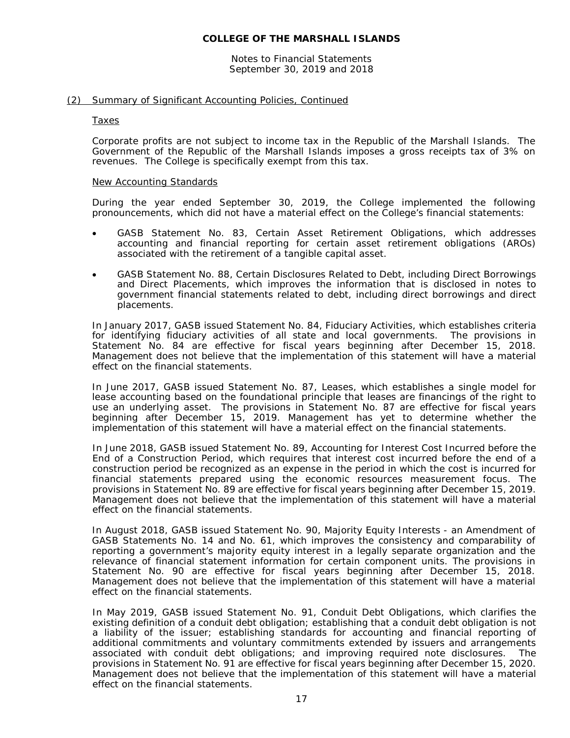Notes to Financial Statements September 30, 2019 and 2018

# (2) Summary of Significant Accounting Policies, Continued

#### Taxes

Corporate profits are not subject to income tax in the Republic of the Marshall Islands. The Government of the Republic of the Marshall Islands imposes a gross receipts tax of 3% on revenues. The College is specifically exempt from this tax.

#### New Accounting Standards

During the year ended September 30, 2019, the College implemented the following pronouncements, which did not have a material effect on the College's financial statements:

- GASB Statement No. 83, *Certain Asset Retirement Obligations*, which addresses accounting and financial reporting for certain asset retirement obligations (AROs) associated with the retirement of a tangible capital asset.
- GASB Statement No. 88, *Certain Disclosures Related to Debt, including Direct Borrowings and Direct Placements*, which improves the information that is disclosed in notes to government financial statements related to debt, including direct borrowings and direct placements.

In January 2017, GASB issued Statement No. 84, *Fiduciary Activities*, which establishes criteria for identifying fiduciary activities of all state and local governments. The provisions in Statement No. 84 are effective for fiscal years beginning after December 15, 2018. Management does not believe that the implementation of this statement will have a material effect on the financial statements.

In June 2017, GASB issued Statement No. 87, *Leases*, which establishes a single model for lease accounting based on the foundational principle that leases are financings of the right to use an underlying asset. The provisions in Statement No. 87 are effective for fiscal years beginning after December 15, 2019. Management has yet to determine whether the implementation of this statement will have a material effect on the financial statements.

In June 2018, GASB issued Statement No. 89, *Accounting for Interest Cost Incurred before the End of a Construction Period*, which requires that interest cost incurred before the end of a construction period be recognized as an expense in the period in which the cost is incurred for financial statements prepared using the economic resources measurement focus. The provisions in Statement No. 89 are effective for fiscal years beginning after December 15, 2019. Management does not believe that the implementation of this statement will have a material effect on the financial statements.

In August 2018, GASB issued Statement No. 90, *Majority Equity Interests - an Amendment of GASB Statements No. 14 and No. 61,* which improves the consistency and comparability of reporting a government's majority equity interest in a legally separate organization and the relevance of financial statement information for certain component units. The provisions in Statement No. 90 are effective for fiscal years beginning after December 15, 2018. Management does not believe that the implementation of this statement will have a material effect on the financial statements.

In May 2019, GASB issued Statement No. 91, *Conduit Debt Obligations*, which clarifies the existing definition of a conduit debt obligation; establishing that a conduit debt obligation is not a liability of the issuer; establishing standards for accounting and financial reporting of additional commitments and voluntary commitments extended by issuers and arrangements associated with conduit debt obligations; and improving required note disclosures. The provisions in Statement No. 91 are effective for fiscal years beginning after December 15, 2020. Management does not believe that the implementation of this statement will have a material effect on the financial statements.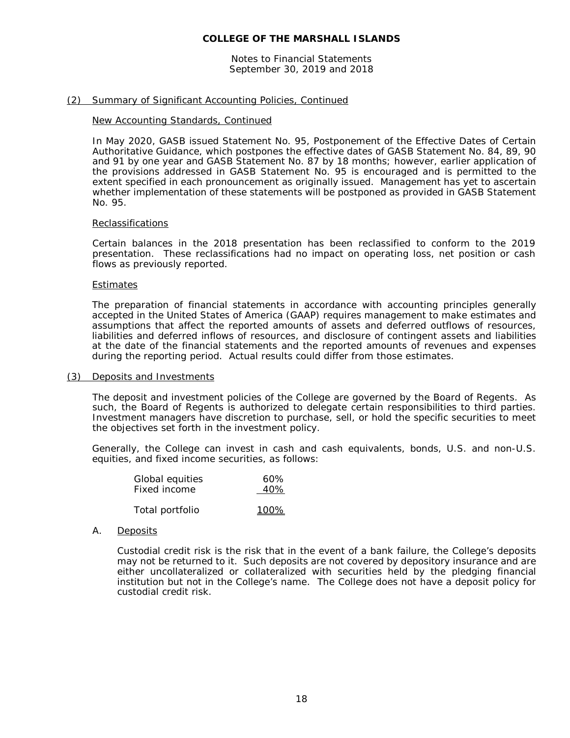Notes to Financial Statements September 30, 2019 and 2018

## (2) Summary of Significant Accounting Policies, Continued

## New Accounting Standards, Continued

In May 2020, GASB issued Statement No. 95, *Postponement of the Effective Dates of Certain Authoritative Guidance*, which postpones the effective dates of GASB Statement No. 84, 89, 90 and 91 by one year and GASB Statement No. 87 by 18 months; however, earlier application of the provisions addressed in GASB Statement No. 95 is encouraged and is permitted to the extent specified in each pronouncement as originally issued. Management has yet to ascertain whether implementation of these statements will be postponed as provided in GASB Statement No. 95.

#### Reclassifications

Certain balances in the 2018 presentation has been reclassified to conform to the 2019 presentation. These reclassifications had no impact on operating loss, net position or cash flows as previously reported.

#### Estimates

The preparation of financial statements in accordance with accounting principles generally accepted in the United States of America (GAAP) requires management to make estimates and assumptions that affect the reported amounts of assets and deferred outflows of resources, liabilities and deferred inflows of resources, and disclosure of contingent assets and liabilities at the date of the financial statements and the reported amounts of revenues and expenses during the reporting period. Actual results could differ from those estimates.

#### (3) Deposits and Investments

The deposit and investment policies of the College are governed by the Board of Regents. As such, the Board of Regents is authorized to delegate certain responsibilities to third parties. Investment managers have discretion to purchase, sell, or hold the specific securities to meet the objectives set forth in the investment policy.

Generally, the College can invest in cash and cash equivalents, bonds, U.S. and non-U.S. equities, and fixed income securities, as follows:

| Global equities | $60\%$ |
|-----------------|--------|
| Fixed income    | 40%    |
|                 |        |

Total portfolio 100%

#### A. Deposits

Custodial credit risk is the risk that in the event of a bank failure, the College's deposits may not be returned to it. Such deposits are not covered by depository insurance and are either uncollateralized or collateralized with securities held by the pledging financial institution but not in the College's name. The College does not have a deposit policy for custodial credit risk.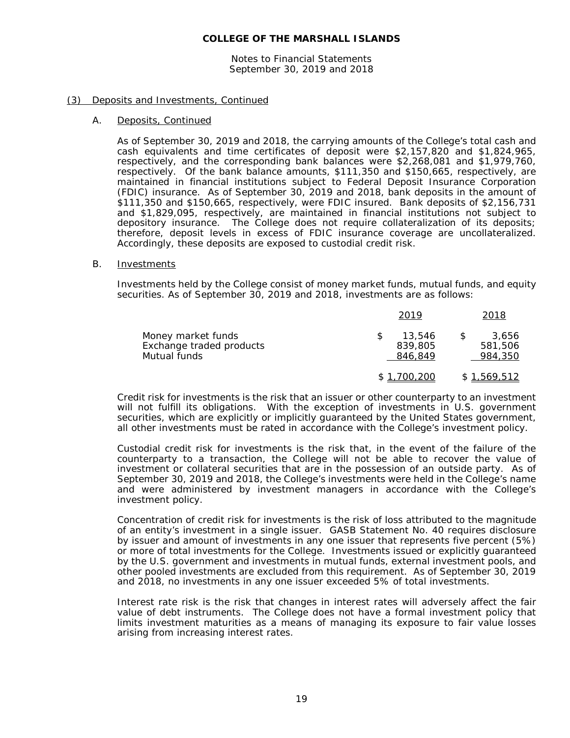Notes to Financial Statements September 30, 2019 and 2018

# (3) Deposits and Investments, Continued

#### A. Deposits, Continued

As of September 30, 2019 and 2018, the carrying amounts of the College's total cash and cash equivalents and time certificates of deposit were \$2,157,820 and \$1,824,965, respectively, and the corresponding bank balances were \$2,268,081 and \$1,979,760, respectively. Of the bank balance amounts, \$111,350 and \$150,665, respectively, are maintained in financial institutions subject to Federal Deposit Insurance Corporation (FDIC) insurance. As of September 30, 2019 and 2018, bank deposits in the amount of \$111,350 and \$150,665, respectively, were FDIC insured. Bank deposits of \$2,156,731 and \$1,829,095, respectively, are maintained in financial institutions not subject to depository insurance. The College does not require collateralization of its deposits; therefore, deposit levels in excess of FDIC insurance coverage are uncollateralized. Accordingly, these deposits are exposed to custodial credit risk.

## B. Investments

Investments held by the College consist of money market funds, mutual funds, and equity securities. As of September 30, 2019 and 2018, investments are as follows:

|                                                                | 2019                         | 2018                        |
|----------------------------------------------------------------|------------------------------|-----------------------------|
| Money market funds<br>Exchange traded products<br>Mutual funds | 13,546<br>839,805<br>846,849 | 3.656<br>581,506<br>984,350 |
|                                                                | \$1,700,200                  | \$1,569,512                 |

Credit risk for investments is the risk that an issuer or other counterparty to an investment will not fulfill its obligations. With the exception of investments in U.S. government securities, which are explicitly or implicitly guaranteed by the United States government, all other investments must be rated in accordance with the College's investment policy.

Custodial credit risk for investments is the risk that, in the event of the failure of the counterparty to a transaction, the College will not be able to recover the value of investment or collateral securities that are in the possession of an outside party. As of September 30, 2019 and 2018, the College's investments were held in the College's name and were administered by investment managers in accordance with the College's investment policy.

Concentration of credit risk for investments is the risk of loss attributed to the magnitude of an entity's investment in a single issuer. GASB Statement No. 40 requires disclosure by issuer and amount of investments in any one issuer that represents five percent (5%) or more of total investments for the College. Investments issued or explicitly guaranteed by the U.S. government and investments in mutual funds, external investment pools, and other pooled investments are excluded from this requirement. As of September 30, 2019 and 2018, no investments in any one issuer exceeded 5% of total investments.

Interest rate risk is the risk that changes in interest rates will adversely affect the fair value of debt instruments. The College does not have a formal investment policy that limits investment maturities as a means of managing its exposure to fair value losses arising from increasing interest rates.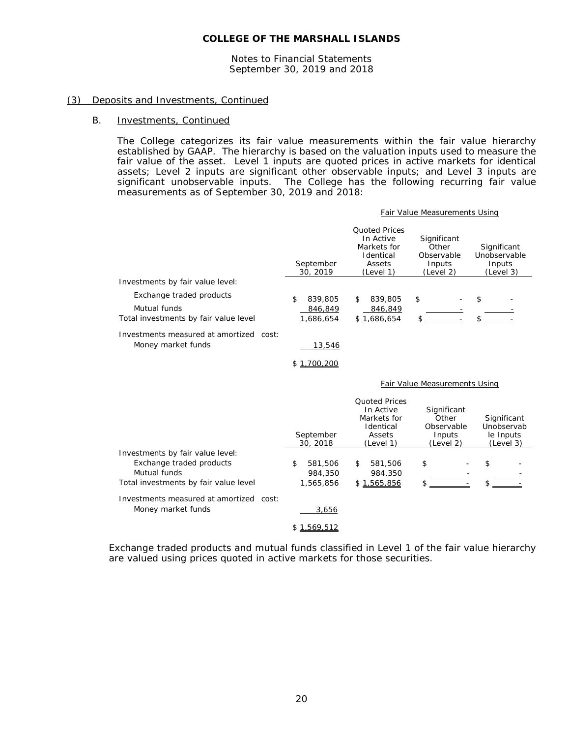#### Notes to Financial Statements September 30, 2019 and 2018

# (3) Deposits and Investments, Continued

#### B. Investments, Continued

The College categorizes its fair value measurements within the fair value hierarchy established by GAAP. The hierarchy is based on the valuation inputs used to measure the fair value of the asset. Level 1 inputs are quoted prices in active markets for identical assets; Level 2 inputs are significant other observable inputs; and Level 3 inputs are significant unobservable inputs. The College has the following recurring fair value measurements as of September 30, 2019 and 2018:

|                                                                                   |                                       | Fair Value Measurements Using                                                        |                                                           |                                                     |  |  |
|-----------------------------------------------------------------------------------|---------------------------------------|--------------------------------------------------------------------------------------|-----------------------------------------------------------|-----------------------------------------------------|--|--|
|                                                                                   | September<br>30, 2019                 | <b>Quoted Prices</b><br>In Active<br>Markets for<br>Identical<br>Assets<br>(Level 1) | Significant<br>Other<br>Observable<br>Inputs<br>(Level 2) | Significant<br>Unobservable<br>Inputs<br>(Level 3)  |  |  |
| Investments by fair value level:                                                  |                                       |                                                                                      |                                                           |                                                     |  |  |
| Exchange traded products<br>Mutual funds<br>Total investments by fair value level | \$<br>839,805<br>846,849<br>1,686,654 | 839,805<br>\$<br>846,849<br>\$1,686,654                                              | \$<br>\$                                                  | \$                                                  |  |  |
| Investments measured at amortized cost:<br>Money market funds                     | 13,546                                |                                                                                      |                                                           |                                                     |  |  |
|                                                                                   | \$1,700,200                           |                                                                                      |                                                           |                                                     |  |  |
|                                                                                   |                                       |                                                                                      | Fair Value Measurements Using                             |                                                     |  |  |
|                                                                                   | September<br>30, 2018                 | <b>Ouoted Prices</b><br>In Active<br>Markets for<br>Identical<br>Assets<br>(Level 1) | Significant<br>Other<br>Observable<br>Inputs<br>(Level 2) | Significant<br>Unobservab<br>le Inputs<br>(Level 3) |  |  |
| Investments by fair value level:<br>Exchange traded products<br>Mutual funds      | \$<br>581,506<br>984,350              | \$<br>581,506<br>984,350                                                             | \$                                                        | \$                                                  |  |  |
| Total investments by fair value level                                             | 1,565,856                             | \$1,565,856                                                                          | \$                                                        |                                                     |  |  |

Investments measured at amortized cost: Money market funds 3,656

\$ 1,569,512

Exchange traded products and mutual funds classified in Level 1 of the fair value hierarchy are valued using prices quoted in active markets for those securities.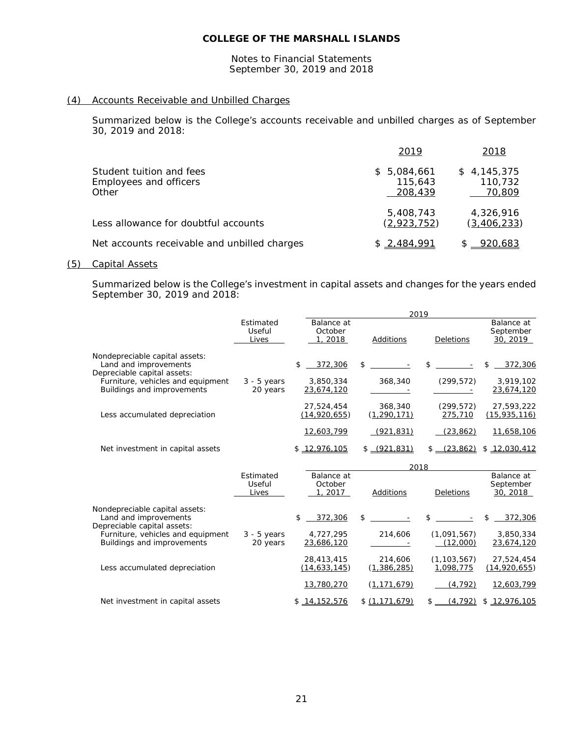Notes to Financial Statements September 30, 2019 and 2018

# (4) Accounts Receivable and Unbilled Charges

Summarized below is the College's accounts receivable and unbilled charges as of September 30, 2019 and 2018:

|                                                             | 2019                                  | 2018                             |
|-------------------------------------------------------------|---------------------------------------|----------------------------------|
| Student tuition and fees<br>Employees and officers<br>Other | 5,084,661<br>S.<br>115,643<br>208,439 | \$4,145,375<br>110,732<br>70,809 |
| Less allowance for doubtful accounts                        | 5,408,743<br>(2, 923, 752)            | 4,326,916<br>(3,406,233)         |
| Net accounts receivable and unbilled charges                | \$2,484,991                           | 920.683                          |

# (5) Capital Assets

Summarized below is the College's investment in capital assets and changes for the years ended September 30, 2019 and 2018:

|                                                                                        |                              |                                  | 2019                     |                            |                                            |  |
|----------------------------------------------------------------------------------------|------------------------------|----------------------------------|--------------------------|----------------------------|--------------------------------------------|--|
|                                                                                        | Estimated<br>Useful<br>Lives | Balance at<br>October<br>1, 2018 | Additions                | Deletions                  | Balance at<br>September<br>30, 2019        |  |
| Nondepreciable capital assets:<br>Land and improvements<br>Depreciable capital assets: |                              | \$<br>372,306                    | \$                       | \$                         | \$<br>372,306                              |  |
| Furniture, vehicles and equipment<br>Buildings and improvements                        | $3 - 5$ years<br>20 years    | 3,850,334<br>23,674,120          | 368,340                  | (299, 572)                 | 3,919,102<br>23,674,120                    |  |
| Less accumulated depreciation                                                          |                              | 27,524,454<br>(14, 920, 655)     | 368,340<br>(1, 290, 171) | (299, 572)<br>275,710      | 27,593,222<br>(15, 935, 116)               |  |
|                                                                                        |                              | 12,603,799                       | (921,831)                | (23, 862)                  | 11,658,106                                 |  |
| Net investment in capital assets                                                       |                              | \$12,976,105                     | $$-(921,831)$            | (23, 862)<br>\$            | \$12,030,412                               |  |
|                                                                                        |                              | 2018                             |                          |                            |                                            |  |
|                                                                                        | Estimated<br>Useful<br>Lives | Balance at<br>October<br>1, 2017 | Additions                | Deletions                  | Balance at<br>September<br><u>30, 2018</u> |  |
| Nondepreciable capital assets:<br>Land and improvements<br>Depreciable capital assets: |                              | \$<br>372,306                    | \$                       | \$                         | 372,306                                    |  |
| Furniture, vehicles and equipment<br>Buildings and improvements                        | $3 - 5$ years<br>20 years    | 4,727,295<br>23,686,120          | 214,606                  | (1,091,567)<br>(12,000)    | 3,850,334<br>23,674,120                    |  |
| Less accumulated depreciation                                                          |                              | 28,413,415<br>(14, 633, 145)     | 214,606<br>(1,386,285)   | (1, 103, 567)<br>1,098,775 | 27,524,454<br>(14, 920, 655)               |  |
|                                                                                        |                              | 13,780,270                       | (1, 171, 679)            | (4, 792)                   | 12,603,799                                 |  |
| Net investment in capital assets                                                       |                              | \$14,152,576                     | \$ (1.171.679)           | (4.792)<br>\$              | \$12,976,105                               |  |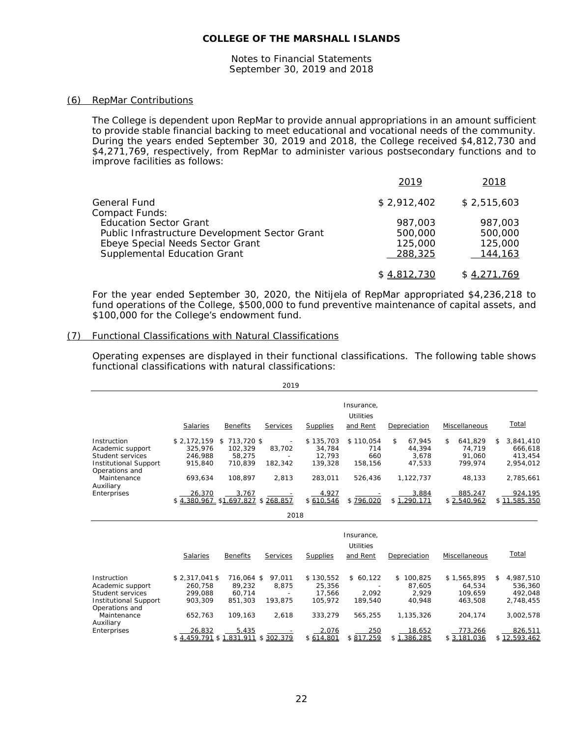Notes to Financial Statements September 30, 2019 and 2018

#### (6) RepMar Contributions

Operations and

Auxiliary

The College is dependent upon RepMar to provide annual appropriations in an amount sufficient to provide stable financial backing to meet educational and vocational needs of the community. During the years ended September 30, 2019 and 2018, the College received \$4,812,730 and \$4,271,769, respectively, from RepMar to administer various postsecondary functions and to improve facilities as follows:

|                                                | 2019        | 2018        |
|------------------------------------------------|-------------|-------------|
| General Fund                                   | \$2,912,402 | \$2,515,603 |
| Compact Funds:                                 |             |             |
| <b>Education Sector Grant</b>                  | 987.003     | 987,003     |
| Public Infrastructure Development Sector Grant | 500,000     | 500,000     |
| Ebeye Special Needs Sector Grant               | 125,000     | 125,000     |
| Supplemental Education Grant                   | 288,325     | 144,163     |
|                                                | \$4,812,730 | \$4,271,769 |

For the year ended September 30, 2020, the Nitijela of RepMar appropriated \$4,236,218 to fund operations of the College, \$500,000 to fund preventive maintenance of capital assets, and \$100,000 for the College's endowment fund.

## (7) Functional Classifications with Natural Classifications

Operating expenses are displayed in their functional classifications. The following table shows functional classifications with natural classifications:

|                                                                                                                                                  |                                                                                                            |                                                                | 2019                       |                                                                           |                                                            |                                                                                |                                                                                  |                                                                                           |
|--------------------------------------------------------------------------------------------------------------------------------------------------|------------------------------------------------------------------------------------------------------------|----------------------------------------------------------------|----------------------------|---------------------------------------------------------------------------|------------------------------------------------------------|--------------------------------------------------------------------------------|----------------------------------------------------------------------------------|-------------------------------------------------------------------------------------------|
|                                                                                                                                                  | Salaries                                                                                                   | <b>Benefits</b>                                                | Services                   | Supplies                                                                  | Insurance,<br><b>Utilities</b><br>and Rent                 | Depreciation                                                                   | Miscellaneous                                                                    | Total                                                                                     |
| Instruction<br>Academic support<br>Student services<br><b>Institutional Support</b><br>Operations and<br>Maintenance<br>Auxiliary<br>Enterprises | $$2,172,159$ \$<br>325.976<br>246,988<br>915.840<br>693.634<br>26,370<br>\$4.380.967 \$1.697.827 \$268.857 | 713,720 \$<br>102,329<br>58,275<br>710.839<br>108.897<br>3,767 | 83,702<br>182,342<br>2.813 | \$135,703<br>34,784<br>12.793<br>139.328<br>283,011<br>4,927<br>\$610.546 | \$110,054<br>714<br>660<br>158.156<br>526.436<br>\$796.020 | \$<br>67.945<br>44.394<br>3.678<br>47.533<br>1,122,737<br>3,884<br>\$1.290.171 | 641,829<br>\$<br>74.719<br>91.060<br>799.974<br>48.133<br>885,247<br>\$2.540.962 | 3,841,410<br>S<br>666,618<br>413,454<br>2,954,012<br>2,785,661<br>924,195<br>\$11,585,350 |
|                                                                                                                                                  |                                                                                                            |                                                                | 2018                       |                                                                           |                                                            |                                                                                |                                                                                  |                                                                                           |
|                                                                                                                                                  | Salaries                                                                                                   | <b>Benefits</b>                                                | Services                   | Supplies                                                                  | Insurance,<br><b>Utilities</b><br>and Rent                 | Depreciation                                                                   | Miscellaneous                                                                    | Total                                                                                     |
| Instruction<br>Academic support<br>Student services<br><b>Institutional Support</b>                                                              | $$2,317,041$ \$<br>260.758<br>299.088<br>903.309                                                           | 716,064 \$<br>89,232<br>60,714<br>851.303                      | 97.011<br>8.875<br>193.875 | \$130,552<br>25.356<br>17,566<br>105.972                                  | \$60,122<br>2.092<br>189.540                               | \$100.825<br>87.605<br>2.929<br>40.948                                         | \$1,565,895<br>64.534<br>109.659<br>463,508                                      | 4,987,510<br>\$<br>536,360<br>492,048<br>2.748.455                                        |

Maintenance 652,763 109,163 2,618 333,279 565,255 1,135,326 204,174 3,002,578

Enterprises 26,832 5,435 - 2,076 250 18,652 773,266 826,511

\$ 4,459,791 \$ 1,831,911 \$ 302,379 \$ 614,801 \$ 817,259 \$ 1,386,285 \$ 3,181,036 \$ 12,593,462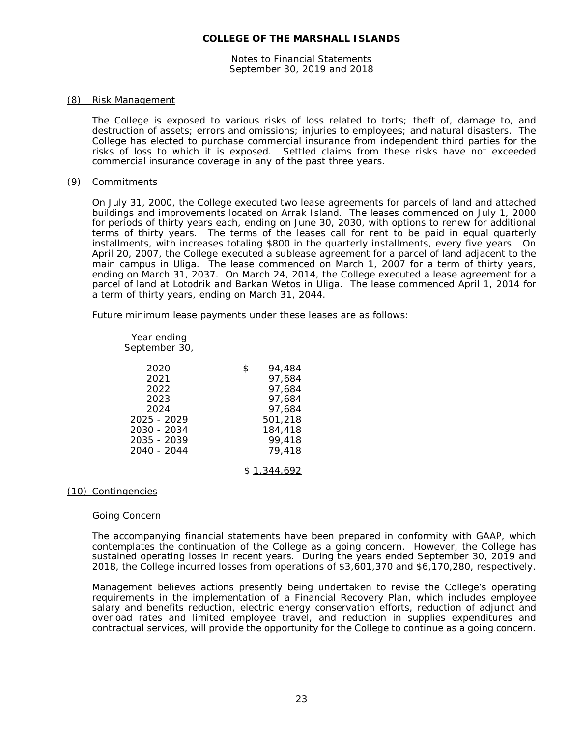#### Notes to Financial Statements September 30, 2019 and 2018

#### (8) Risk Management

The College is exposed to various risks of loss related to torts; theft of, damage to, and destruction of assets; errors and omissions; injuries to employees; and natural disasters. The College has elected to purchase commercial insurance from independent third parties for the risks of loss to which it is exposed. Settled claims from these risks have not exceeded commercial insurance coverage in any of the past three years.

#### (9) Commitments

On July 31, 2000, the College executed two lease agreements for parcels of land and attached buildings and improvements located on Arrak Island. The leases commenced on July 1, 2000 for periods of thirty years each, ending on June 30, 2030, with options to renew for additional terms of thirty years. The terms of the leases call for rent to be paid in equal quarterly installments, with increases totaling \$800 in the quarterly installments, every five years. On April 20, 2007, the College executed a sublease agreement for a parcel of land adjacent to the main campus in Uliga. The lease commenced on March 1, 2007 for a term of thirty years, ending on March 31, 2037. On March 24, 2014, the College executed a lease agreement for a parcel of land at Lotodrik and Barkan Wetos in Uliga. The lease commenced April 1, 2014 for a term of thirty years, ending on March 31, 2044.

Future minimum lease payments under these leases are as follows:

| Year ending<br>September 30, |              |  |
|------------------------------|--------------|--|
| 2020                         | \$<br>94,484 |  |
| 2021                         | 97.684       |  |
| 2022                         | 97,684       |  |
| 2023                         | 97.684       |  |
| 2024                         | 97.684       |  |
| 2025 - 2029                  | 501,218      |  |
| 2030 - 2034                  | 184,418      |  |
| 2035 - 2039                  | 99.418       |  |
| 2040 - 2044                  | 79,418       |  |
|                              | \$1,344,692  |  |
|                              |              |  |

#### (10) Contingencies

#### Going Concern

The accompanying financial statements have been prepared in conformity with GAAP, which contemplates the continuation of the College as a going concern. However, the College has sustained operating losses in recent years. During the years ended September 30, 2019 and 2018, the College incurred losses from operations of \$3,601,370 and \$6,170,280, respectively.

Management believes actions presently being undertaken to revise the College's operating requirements in the implementation of a Financial Recovery Plan, which includes employee salary and benefits reduction, electric energy conservation efforts, reduction of adjunct and overload rates and limited employee travel, and reduction in supplies expenditures and contractual services, will provide the opportunity for the College to continue as a going concern.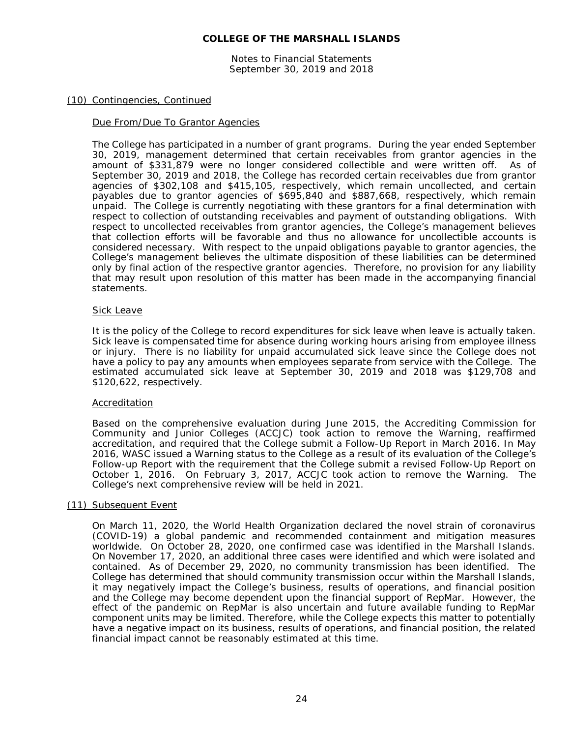Notes to Financial Statements September 30, 2019 and 2018

# (10) Contingencies, Continued

# Due From/Due To Grantor Agencies

The College has participated in a number of grant programs. During the year ended September 30, 2019, management determined that certain receivables from grantor agencies in the amount of \$331,879 were no longer considered collectible and were written off. As of September 30, 2019 and 2018, the College has recorded certain receivables due from grantor agencies of \$302,108 and \$415,105, respectively, which remain uncollected, and certain payables due to grantor agencies of \$695,840 and \$887,668, respectively, which remain unpaid. The College is currently negotiating with these grantors for a final determination with respect to collection of outstanding receivables and payment of outstanding obligations. With respect to uncollected receivables from grantor agencies, the College's management believes that collection efforts will be favorable and thus no allowance for uncollectible accounts is considered necessary. With respect to the unpaid obligations payable to grantor agencies, the College's management believes the ultimate disposition of these liabilities can be determined only by final action of the respective grantor agencies. Therefore, no provision for any liability that may result upon resolution of this matter has been made in the accompanying financial statements.

#### Sick Leave

It is the policy of the College to record expenditures for sick leave when leave is actually taken. Sick leave is compensated time for absence during working hours arising from employee illness or injury. There is no liability for unpaid accumulated sick leave since the College does not have a policy to pay any amounts when employees separate from service with the College. The estimated accumulated sick leave at September 30, 2019 and 2018 was \$129,708 and \$120,622, respectively.

#### Accreditation

Based on the comprehensive evaluation during June 2015, the Accrediting Commission for Community and Junior Colleges (ACCJC) took action to remove the Warning, reaffirmed accreditation, and required that the College submit a Follow-Up Report in March 2016. In May 2016, WASC issued a Warning status to the College as a result of its evaluation of the College's Follow-up Report with the requirement that the College submit a revised Follow-Up Report on October 1, 2016. On February 3, 2017, ACCJC took action to remove the Warning. The College's next comprehensive review will be held in 2021.

#### (11) Subsequent Event

On March 11, 2020, the World Health Organization declared the novel strain of coronavirus (COVID-19) a global pandemic and recommended containment and mitigation measures worldwide. On October 28, 2020, one confirmed case was identified in the Marshall Islands. On November 17, 2020, an additional three cases were identified and which were isolated and contained. As of December 29, 2020, no community transmission has been identified. The College has determined that should community transmission occur within the Marshall Islands, it may negatively impact the College's business, results of operations, and financial position and the College may become dependent upon the financial support of RepMar. However, the effect of the pandemic on RepMar is also uncertain and future available funding to RepMar component units may be limited. Therefore, while the College expects this matter to potentially have a negative impact on its business, results of operations, and financial position, the related financial impact cannot be reasonably estimated at this time.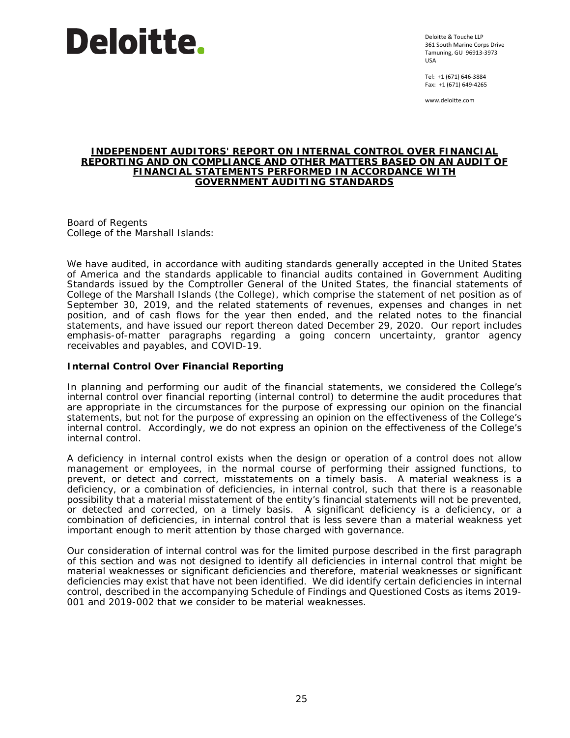# **Deloitte**.

Deloitte & Touche LLP 361 South Marine Corps Drive Tamuning, GU 96913-3973 USA

Tel: +1 (671) 646-3884 Fax: +1 (671) 649-4265

www.deloitte.com

# **INDEPENDENT AUDITORS' REPORT ON INTERNAL CONTROL OVER FINANCIAL REPORTING AND ON COMPLIANCE AND OTHER MATTERS BASED ON AN AUDIT OF FINANCIAL STATEMENTS PERFORMED IN ACCORDANCE WITH**  *GOVERNMENT AUDITING STANDARDS*

Board of Regents College of the Marshall Islands:

We have audited, in accordance with auditing standards generally accepted in the United States of America and the standards applicable to financial audits contained in *Government Auditing Standards* issued by the Comptroller General of the United States, the financial statements of College of the Marshall Islands (the College), which comprise the statement of net position as of September 30, 2019, and the related statements of revenues, expenses and changes in net position, and of cash flows for the year then ended, and the related notes to the financial statements, and have issued our report thereon dated December 29, 2020. Our report includes emphasis-of-matter paragraphs regarding a going concern uncertainty, grantor agency receivables and payables, and COVID-19.

# **Internal Control Over Financial Reporting**

In planning and performing our audit of the financial statements, we considered the College's internal control over financial reporting (internal control) to determine the audit procedures that are appropriate in the circumstances for the purpose of expressing our opinion on the financial statements, but not for the purpose of expressing an opinion on the effectiveness of the College's internal control. Accordingly, we do not express an opinion on the effectiveness of the College's internal control.

A *deficiency in internal control* exists when the design or operation of a control does not allow management or employees, in the normal course of performing their assigned functions, to prevent, or detect and correct, misstatements on a timely basis. A *material weakness* is a deficiency, or a combination of deficiencies, in internal control, such that there is a reasonable possibility that a material misstatement of the entity's financial statements will not be prevented, or detected and corrected, on a timely basis. A *significant deficiency* is a deficiency, or a combination of deficiencies, in internal control that is less severe than a material weakness yet important enough to merit attention by those charged with governance.

Our consideration of internal control was for the limited purpose described in the first paragraph of this section and was not designed to identify all deficiencies in internal control that might be material weaknesses or significant deficiencies and therefore, material weaknesses or significant deficiencies may exist that have not been identified. We did identify certain deficiencies in internal control, described in the accompanying Schedule of Findings and Questioned Costs as items 2019- 001 and 2019-002 that we consider to be material weaknesses.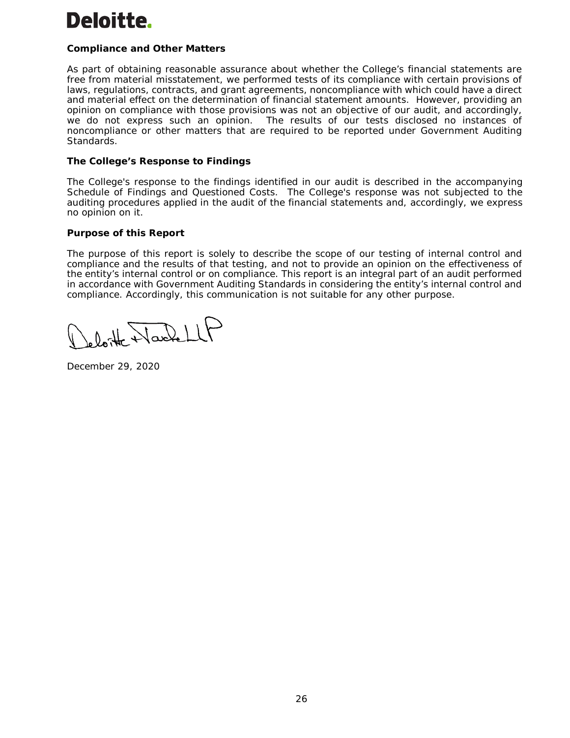# Deloitte.

# **Compliance and Other Matters**

As part of obtaining reasonable assurance about whether the College's financial statements are free from material misstatement, we performed tests of its compliance with certain provisions of laws, regulations, contracts, and grant agreements, noncompliance with which could have a direct and material effect on the determination of financial statement amounts. However, providing an opinion on compliance with those provisions was not an objective of our audit, and accordingly, we do not express such an opinion. The results of our tests disclosed no instances of noncompliance or other matters that are required to be reported under *Government Auditing Standards*.

# **The College's Response to Findings**

The College's response to the findings identified in our audit is described in the accompanying Schedule of Findings and Questioned Costs. The College's response was not subjected to the auditing procedures applied in the audit of the financial statements and, accordingly, we express no opinion on it.

# **Purpose of this Report**

The purpose of this report is solely to describe the scope of our testing of internal control and compliance and the results of that testing, and not to provide an opinion on the effectiveness of the entity's internal control or on compliance. This report is an integral part of an audit performed in accordance with *Government Auditing Standards* in considering the entity's internal control and compliance. Accordingly, this communication is not suitable for any other purpose.

 $0 + L$  Wackel

December 29, 2020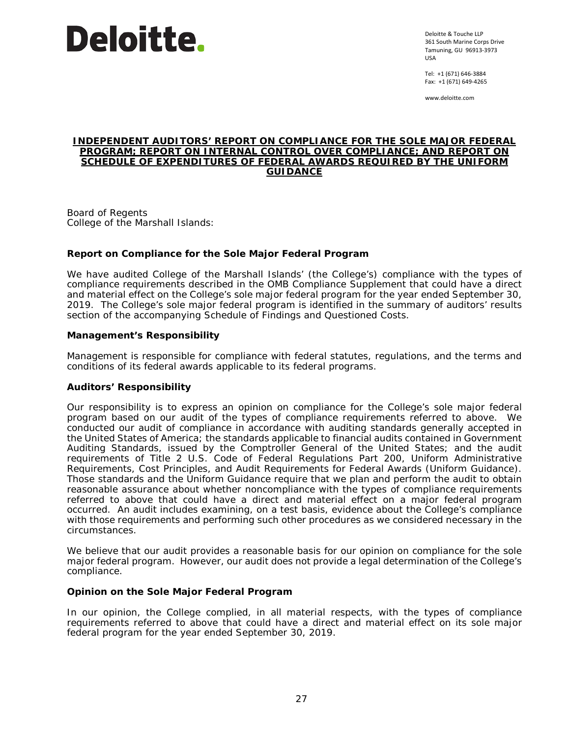

Deloitte & Touche LLP 361 South Marine Corps Drive Tamuning, GU 96913-3973 USA

Tel: +1 (671) 646-3884 Fax: +1 (671) 649-4265

www.deloitte.com

# **INDEPENDENT AUDITORS' REPORT ON COMPLIANCE FOR THE SOLE MAJOR FEDERAL PROGRAM; REPORT ON INTERNAL CONTROL OVER COMPLIANCE; AND REPORT ON SCHEDULE OF EXPENDITURES OF FEDERAL AWARDS REQUIRED BY THE UNIFORM GUIDANCE**

Board of Regents College of the Marshall Islands:

# **Report on Compliance for the Sole Major Federal Program**

We have audited College of the Marshall Islands' (the College's) compliance with the types of compliance requirements described in the *OMB Compliance Supplement* that could have a direct and material effect on the College's sole major federal program for the year ended September 30, 2019. The College's sole major federal program is identified in the summary of auditors' results section of the accompanying Schedule of Findings and Questioned Costs.

# *Management's Responsibility*

Management is responsible for compliance with federal statutes, regulations, and the terms and conditions of its federal awards applicable to its federal programs.

# *Auditors' Responsibility*

Our responsibility is to express an opinion on compliance for the College's sole major federal program based on our audit of the types of compliance requirements referred to above. We conducted our audit of compliance in accordance with auditing standards generally accepted in the United States of America; the standards applicable to financial audits contained in *Government Auditing Standards*, issued by the Comptroller General of the United States; and the audit requirements of Title 2 U.S. *Code of Federal Regulations* Part 200, *Uniform Administrative Requirements, Cost Principles, and Audit Requirements for Federal Awards* (Uniform Guidance). Those standards and the Uniform Guidance require that we plan and perform the audit to obtain reasonable assurance about whether noncompliance with the types of compliance requirements referred to above that could have a direct and material effect on a major federal program occurred. An audit includes examining, on a test basis, evidence about the College's compliance with those requirements and performing such other procedures as we considered necessary in the circumstances.

We believe that our audit provides a reasonable basis for our opinion on compliance for the sole major federal program. However, our audit does not provide a legal determination of the College's compliance.

# *Opinion on the Sole Major Federal Program*

In our opinion, the College complied, in all material respects, with the types of compliance requirements referred to above that could have a direct and material effect on its sole major federal program for the year ended September 30, 2019.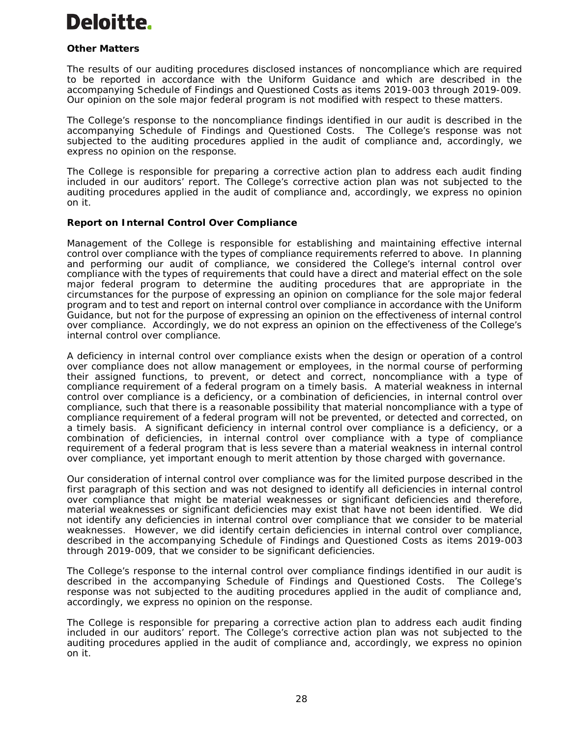# **Deloitte.**

# *Other Matters*

The results of our auditing procedures disclosed instances of noncompliance which are required to be reported in accordance with the Uniform Guidance and which are described in the accompanying Schedule of Findings and Questioned Costs as items 2019-003 through 2019-009. Our opinion on the sole major federal program is not modified with respect to these matters.

The College's response to the noncompliance findings identified in our audit is described in the accompanying Schedule of Findings and Questioned Costs. The College's response was not subjected to the auditing procedures applied in the audit of compliance and, accordingly, we express no opinion on the response.

The College is responsible for preparing a corrective action plan to address each audit finding included in our auditors' report. The College's corrective action plan was not subjected to the auditing procedures applied in the audit of compliance and, accordingly, we express no opinion on it.

# **Report on Internal Control Over Compliance**

Management of the College is responsible for establishing and maintaining effective internal control over compliance with the types of compliance requirements referred to above. In planning and performing our audit of compliance, we considered the College's internal control over compliance with the types of requirements that could have a direct and material effect on the sole major federal program to determine the auditing procedures that are appropriate in the circumstances for the purpose of expressing an opinion on compliance for the sole major federal program and to test and report on internal control over compliance in accordance with the Uniform Guidance, but not for the purpose of expressing an opinion on the effectiveness of internal control over compliance. Accordingly, we do not express an opinion on the effectiveness of the College's internal control over compliance.

A *deficiency in internal control over compliance* exists when the design or operation of a control over compliance does not allow management or employees, in the normal course of performing their assigned functions, to prevent, or detect and correct, noncompliance with a type of compliance requirement of a federal program on a timely basis. A *material weakness in internal control over compliance* is a deficiency, or a combination of deficiencies, in internal control over compliance, such that there is a reasonable possibility that material noncompliance with a type of compliance requirement of a federal program will not be prevented, or detected and corrected, on a timely basis. A *significant deficiency in internal control over compliance* is a deficiency, or a combination of deficiencies, in internal control over compliance with a type of compliance requirement of a federal program that is less severe than a material weakness in internal control over compliance, yet important enough to merit attention by those charged with governance.

Our consideration of internal control over compliance was for the limited purpose described in the first paragraph of this section and was not designed to identify all deficiencies in internal control over compliance that might be material weaknesses or significant deficiencies and therefore, material weaknesses or significant deficiencies may exist that have not been identified. We did not identify any deficiencies in internal control over compliance that we consider to be material weaknesses. However, we did identify certain deficiencies in internal control over compliance, described in the accompanying Schedule of Findings and Questioned Costs as items 2019-003 through 2019-009, that we consider to be significant deficiencies.

The College's response to the internal control over compliance findings identified in our audit is described in the accompanying Schedule of Findings and Questioned Costs. The College's response was not subjected to the auditing procedures applied in the audit of compliance and, accordingly, we express no opinion on the response.

The College is responsible for preparing a corrective action plan to address each audit finding included in our auditors' report. The College's corrective action plan was not subjected to the auditing procedures applied in the audit of compliance and, accordingly, we express no opinion on it.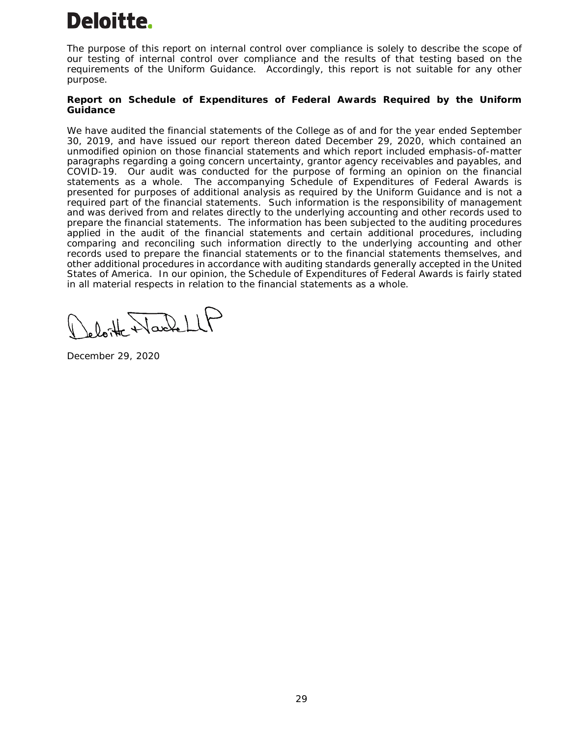# **Deloitte.**

The purpose of this report on internal control over compliance is solely to describe the scope of our testing of internal control over compliance and the results of that testing based on the requirements of the Uniform Guidance. Accordingly, this report is not suitable for any other purpose.

# **Report on Schedule of Expenditures of Federal Awards Required by the Uniform Guidance**

We have audited the financial statements of the College as of and for the year ended September 30, 2019, and have issued our report thereon dated December 29, 2020, which contained an unmodified opinion on those financial statements and which report included emphasis-of-matter paragraphs regarding a going concern uncertainty, grantor agency receivables and payables, and COVID-19. Our audit was conducted for the purpose of forming an opinion on the financial statements as a whole. The accompanying Schedule of Expenditures of Federal Awards is presented for purposes of additional analysis as required by the Uniform Guidance and is not a required part of the financial statements. Such information is the responsibility of management and was derived from and relates directly to the underlying accounting and other records used to prepare the financial statements. The information has been subjected to the auditing procedures applied in the audit of the financial statements and certain additional procedures, including comparing and reconciling such information directly to the underlying accounting and other records used to prepare the financial statements or to the financial statements themselves, and other additional procedures in accordance with auditing standards generally accepted in the United States of America. In our opinion, the Schedule of Expenditures of Federal Awards is fairly stated in all material respects in relation to the financial statements as a whole.

 $0$  the Nackel

December 29, 2020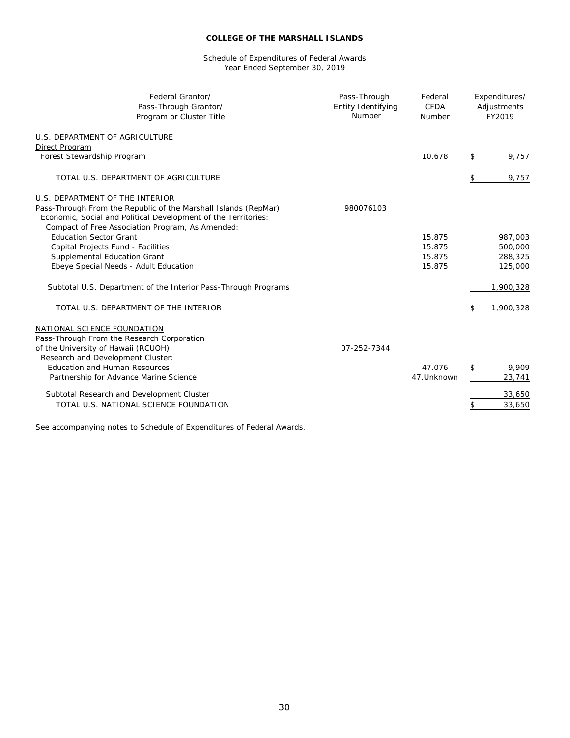## Schedule of Expenditures of Federal Awards Year Ended September 30, 2019

| Federal Grantor/<br>Pass-Through Grantor/<br>Program or Cluster Title | Pass-Through<br>Entity Identifying<br>Number | Federal<br><b>CFDA</b><br>Number | Expenditures/<br>Adjustments<br>FY2019 |  |
|-----------------------------------------------------------------------|----------------------------------------------|----------------------------------|----------------------------------------|--|
| U.S. DEPARTMENT OF AGRICULTURE                                        |                                              |                                  |                                        |  |
| Direct Program                                                        |                                              |                                  |                                        |  |
| Forest Stewardship Program                                            |                                              | 10.678                           | \$<br>9,757                            |  |
| TOTAL U.S. DEPARTMENT OF AGRICULTURE                                  |                                              |                                  | 9,757<br>\$                            |  |
| U.S. DEPARTMENT OF THE INTERIOR                                       |                                              |                                  |                                        |  |
| Pass-Through From the Republic of the Marshall Islands (RepMar)       | 980076103                                    |                                  |                                        |  |
| Economic, Social and Political Development of the Territories:        |                                              |                                  |                                        |  |
| Compact of Free Association Program, As Amended:                      |                                              |                                  |                                        |  |
| <b>Education Sector Grant</b>                                         |                                              | 15.875                           | 987,003                                |  |
| Capital Projects Fund - Facilities                                    |                                              | 15.875                           | 500,000                                |  |
| Supplemental Education Grant                                          |                                              | 15.875                           | 288,325                                |  |
| Ebeye Special Needs - Adult Education                                 |                                              | 15.875                           | 125,000                                |  |
| Subtotal U.S. Department of the Interior Pass-Through Programs        |                                              |                                  | 1,900,328                              |  |
| TOTAL U.S. DEPARTMENT OF THE INTERIOR                                 |                                              |                                  | 1,900,328<br>\$                        |  |
| NATIONAL SCIENCE FOUNDATION                                           |                                              |                                  |                                        |  |
| Pass-Through From the Research Corporation                            |                                              |                                  |                                        |  |
| of the University of Hawaii (RCUOH):                                  | 07-252-7344                                  |                                  |                                        |  |
| Research and Development Cluster:                                     |                                              |                                  |                                        |  |
| <b>Education and Human Resources</b>                                  |                                              | 47.076                           | 9,909<br>\$                            |  |
| Partnership for Advance Marine Science                                |                                              | 47. Unknown                      | 23,741                                 |  |
| Subtotal Research and Development Cluster                             |                                              |                                  | 33,650                                 |  |
| TOTAL U.S. NATIONAL SCIENCE FOUNDATION                                |                                              |                                  | 33,650<br>\$                           |  |

See accompanying notes to Schedule of Expenditures of Federal Awards.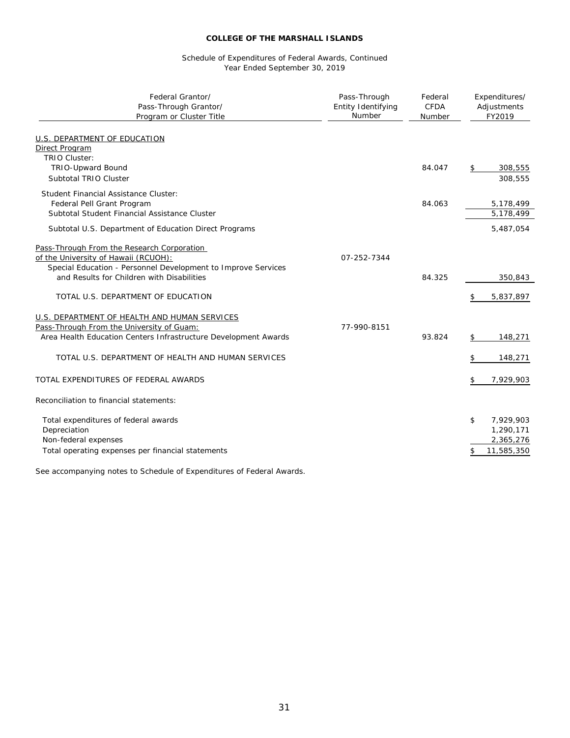## Schedule of Expenditures of Federal Awards, Continued Year Ended September 30, 2019

| Federal Grantor/<br>Pass-Through Grantor/<br>Program or Cluster Title                                                                                                                                              | Pass-Through<br>Entity Identifying<br>Number | Federal<br><b>CFDA</b><br>Number | Expenditures/<br>Adjustments<br>FY2019                  |
|--------------------------------------------------------------------------------------------------------------------------------------------------------------------------------------------------------------------|----------------------------------------------|----------------------------------|---------------------------------------------------------|
| U.S. DEPARTMENT OF EDUCATION<br>Direct Program                                                                                                                                                                     |                                              |                                  |                                                         |
| <b>TRIO Cluster:</b><br>TRIO-Upward Bound<br>Subtotal TRIO Cluster                                                                                                                                                 |                                              | 84.047                           | \$<br>308,555<br>308,555                                |
| Student Financial Assistance Cluster:<br>Federal Pell Grant Program<br>Subtotal Student Financial Assistance Cluster<br>Subtotal U.S. Department of Education Direct Programs                                      |                                              | 84.063                           | 5,178,499<br>5,178,499<br>5,487,054                     |
| Pass-Through From the Research Corporation<br>of the University of Hawaii (RCUOH):<br>Special Education - Personnel Development to Improve Services<br>and Results for Children with Disabilities                  | 07-252-7344                                  | 84.325                           | 350,843                                                 |
| TOTAL U.S. DEPARTMENT OF EDUCATION                                                                                                                                                                                 |                                              |                                  | 5,837,897<br>\$                                         |
| U.S. DEPARTMENT OF HEALTH AND HUMAN SERVICES<br>Pass-Through From the University of Guam:<br>Area Health Education Centers Infrastructure Development Awards<br>TOTAL U.S. DEPARTMENT OF HEALTH AND HUMAN SERVICES | 77-990-8151                                  | 93.824                           | 148,271<br>\$<br>\$<br>148,271                          |
| TOTAL EXPENDITURES OF FEDERAL AWARDS                                                                                                                                                                               |                                              |                                  | 7,929,903<br>\$                                         |
| Reconciliation to financial statements:                                                                                                                                                                            |                                              |                                  |                                                         |
| Total expenditures of federal awards<br>Depreciation<br>Non-federal expenses<br>Total operating expenses per financial statements                                                                                  |                                              |                                  | \$<br>7,929,903<br>1,290,171<br>2,365,276<br>11,585,350 |

See accompanying notes to Schedule of Expenditures of Federal Awards.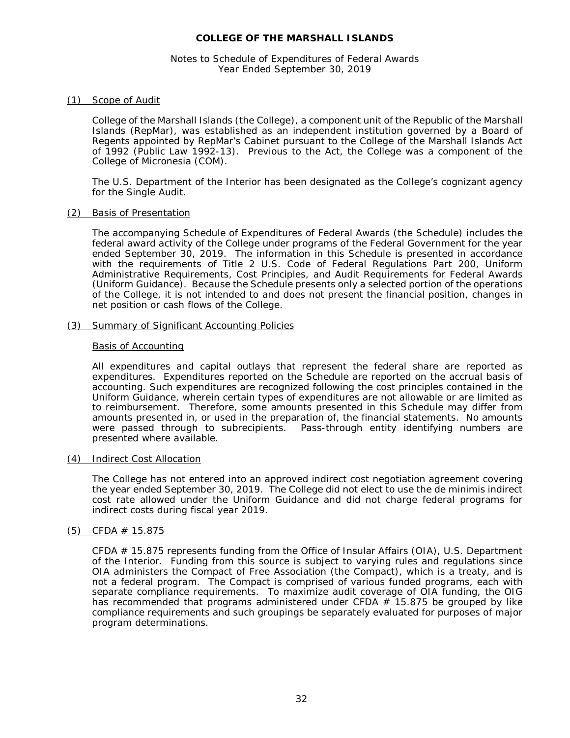# Notes to Schedule of Expenditures of Federal Awards Year Ended September 30, 2019

# (1) Scope of Audit

College of the Marshall Islands (the College), a component unit of the Republic of the Marshall Islands (RepMar), was established as an independent institution governed by a Board of Regents appointed by RepMar's Cabinet pursuant to the College of the Marshall Islands Act of 1992 (Public Law 1992-13). Previous to the Act, the College was a component of the College of Micronesia (COM).

The U.S. Department of the Interior has been designated as the College's cognizant agency for the Single Audit.

# (2) Basis of Presentation

The accompanying Schedule of Expenditures of Federal Awards (the Schedule) includes the federal award activity of the College under programs of the Federal Government for the year ended September 30, 2019. The information in this Schedule is presented in accordance with the requirements of Title 2 U.S. *Code of Federal Regulations* Part 200, *Uniform Administrative Requirements, Cost Principles, and Audit Requirements for Federal Awards*  (Uniform Guidance*)*. Because the Schedule presents only a selected portion of the operations of the College, it is not intended to and does not present the financial position, changes in net position or cash flows of the College.

# (3) Summary of Significant Accounting Policies

# Basis of Accounting

All expenditures and capital outlays that represent the federal share are reported as expenditures. Expenditures reported on the Schedule are reported on the accrual basis of accounting. Such expenditures are recognized following the cost principles contained in the Uniform Guidance, wherein certain types of expenditures are not allowable or are limited as to reimbursement. Therefore, some amounts presented in this Schedule may differ from amounts presented in, or used in the preparation of, the financial statements. No amounts were passed through to subrecipients. Pass-through entity identifying numbers are presented where available.

# (4) Indirect Cost Allocation

The College has not entered into an approved indirect cost negotiation agreement covering the year ended September 30, 2019. The College did not elect to use the de minimis indirect cost rate allowed under the Uniform Guidance and did not charge federal programs for indirect costs during fiscal year 2019.

# $(5)$  CFDA  $#$  15.875

CFDA # 15.875 represents funding from the Office of Insular Affairs (OIA), U.S. Department of the Interior. Funding from this source is subject to varying rules and regulations since OIA administers the Compact of Free Association (the Compact), which is a treaty, and is not a federal program. The Compact is comprised of various funded programs, each with separate compliance requirements. To maximize audit coverage of OIA funding, the OIG has recommended that programs administered under CFDA  $#$  15.875 be grouped by like compliance requirements and such groupings be separately evaluated for purposes of major program determinations.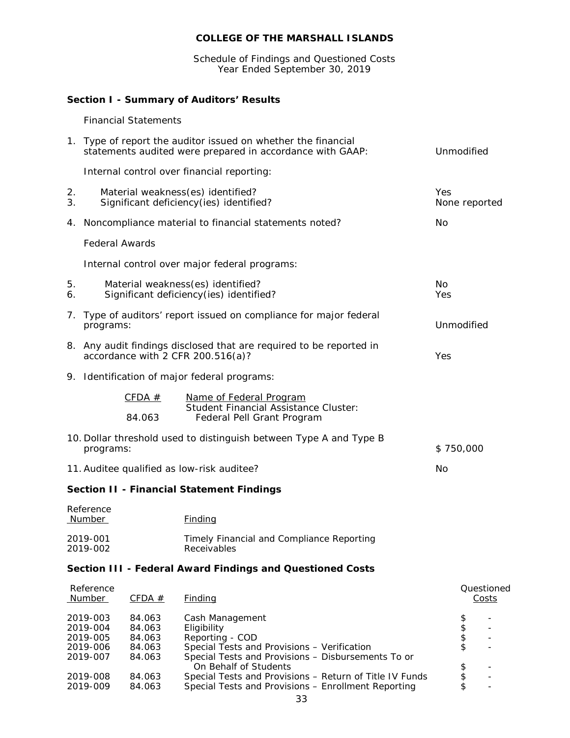Schedule of Findings and Questioned Costs Year Ended September 30, 2019

# **Section I - Summary of Auditors' Results**

# *Financial Statements*

| Internal control over financial reporting:<br>2.<br>Material weakness(es) identified?<br>Yes<br>3.<br>Significant deficiency(ies) identified?<br>No<br>4. Noncompliance material to financial statements noted?<br><b>Federal Awards</b><br>Internal control over major federal programs:<br>5.<br>Material weakness(es) identified?<br>No.<br>Significant deficiency(ies) identified?<br>Yes<br>6.<br>7. Type of auditors' report issued on compliance for major federal<br>programs:<br>8. Any audit findings disclosed that are required to be reported in<br>accordance with 2 CFR 200.516(a)?<br>Yes<br>9. Identification of major federal programs:<br><u>CFDA #</u><br>Name of Federal Program<br>Student Financial Assistance Cluster:<br>Federal Pell Grant Program<br>84.063<br>10. Dollar threshold used to distinguish between Type A and Type B<br>programs:<br>11. Auditee qualified as low-risk auditee?<br>No<br><b>Section II - Financial Statement Findings</b><br>Reference<br>Number<br><b>Finding</b><br>2019-001<br>Timely Financial and Compliance Reporting<br>Receivables<br>2019-002 | Unmodified          |
|----------------------------------------------------------------------------------------------------------------------------------------------------------------------------------------------------------------------------------------------------------------------------------------------------------------------------------------------------------------------------------------------------------------------------------------------------------------------------------------------------------------------------------------------------------------------------------------------------------------------------------------------------------------------------------------------------------------------------------------------------------------------------------------------------------------------------------------------------------------------------------------------------------------------------------------------------------------------------------------------------------------------------------------------------------------------------------------------------------------|---------------------|
|                                                                                                                                                                                                                                                                                                                                                                                                                                                                                                                                                                                                                                                                                                                                                                                                                                                                                                                                                                                                                                                                                                                |                     |
|                                                                                                                                                                                                                                                                                                                                                                                                                                                                                                                                                                                                                                                                                                                                                                                                                                                                                                                                                                                                                                                                                                                | None reported       |
|                                                                                                                                                                                                                                                                                                                                                                                                                                                                                                                                                                                                                                                                                                                                                                                                                                                                                                                                                                                                                                                                                                                |                     |
|                                                                                                                                                                                                                                                                                                                                                                                                                                                                                                                                                                                                                                                                                                                                                                                                                                                                                                                                                                                                                                                                                                                |                     |
|                                                                                                                                                                                                                                                                                                                                                                                                                                                                                                                                                                                                                                                                                                                                                                                                                                                                                                                                                                                                                                                                                                                |                     |
|                                                                                                                                                                                                                                                                                                                                                                                                                                                                                                                                                                                                                                                                                                                                                                                                                                                                                                                                                                                                                                                                                                                |                     |
|                                                                                                                                                                                                                                                                                                                                                                                                                                                                                                                                                                                                                                                                                                                                                                                                                                                                                                                                                                                                                                                                                                                | Unmodified          |
|                                                                                                                                                                                                                                                                                                                                                                                                                                                                                                                                                                                                                                                                                                                                                                                                                                                                                                                                                                                                                                                                                                                |                     |
|                                                                                                                                                                                                                                                                                                                                                                                                                                                                                                                                                                                                                                                                                                                                                                                                                                                                                                                                                                                                                                                                                                                |                     |
|                                                                                                                                                                                                                                                                                                                                                                                                                                                                                                                                                                                                                                                                                                                                                                                                                                                                                                                                                                                                                                                                                                                |                     |
|                                                                                                                                                                                                                                                                                                                                                                                                                                                                                                                                                                                                                                                                                                                                                                                                                                                                                                                                                                                                                                                                                                                | \$750,000           |
|                                                                                                                                                                                                                                                                                                                                                                                                                                                                                                                                                                                                                                                                                                                                                                                                                                                                                                                                                                                                                                                                                                                |                     |
|                                                                                                                                                                                                                                                                                                                                                                                                                                                                                                                                                                                                                                                                                                                                                                                                                                                                                                                                                                                                                                                                                                                |                     |
|                                                                                                                                                                                                                                                                                                                                                                                                                                                                                                                                                                                                                                                                                                                                                                                                                                                                                                                                                                                                                                                                                                                |                     |
|                                                                                                                                                                                                                                                                                                                                                                                                                                                                                                                                                                                                                                                                                                                                                                                                                                                                                                                                                                                                                                                                                                                |                     |
| Section III - Federal Award Findings and Questioned Costs                                                                                                                                                                                                                                                                                                                                                                                                                                                                                                                                                                                                                                                                                                                                                                                                                                                                                                                                                                                                                                                      |                     |
| Reference<br>Number<br>CFDA#<br><u>Finding</u>                                                                                                                                                                                                                                                                                                                                                                                                                                                                                                                                                                                                                                                                                                                                                                                                                                                                                                                                                                                                                                                                 | Questioned<br>Costs |

| 2019-003 | 84.063 | Cash Management                                         |   |  |
|----------|--------|---------------------------------------------------------|---|--|
| 2019-004 | 84.063 | Eligibility                                             |   |  |
| 2019-005 | 84.063 | Reporting - COD                                         |   |  |
| 2019-006 | 84.063 | Special Tests and Provisions - Verification             |   |  |
| 2019-007 | 84.063 | Special Tests and Provisions - Disbursements To or      |   |  |
|          |        | On Behalf of Students                                   |   |  |
| 2019-008 | 84.063 | Special Tests and Provisions – Return of Title IV Funds | ፍ |  |
| 2019-009 | 84.063 | Special Tests and Provisions - Enrollment Reporting     |   |  |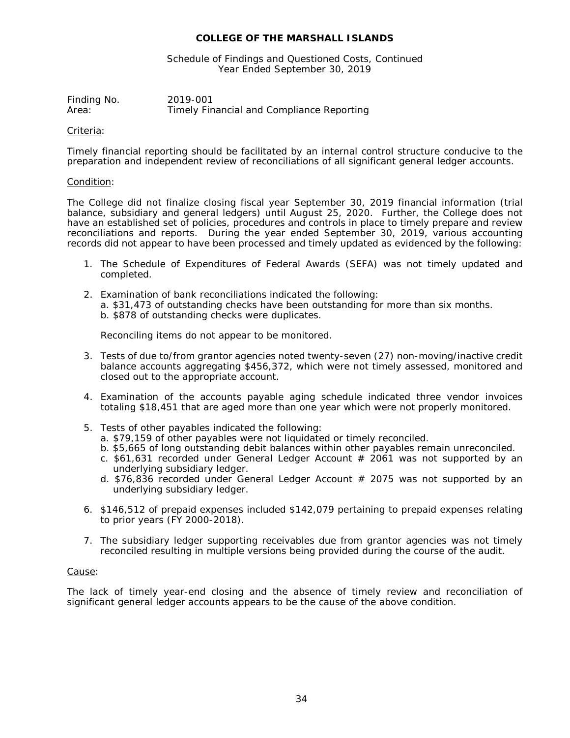Schedule of Findings and Questioned Costs, Continued Year Ended September 30, 2019

Finding No. 2019-001 Area: Timely Financial and Compliance Reporting

# Criteria:

Timely financial reporting should be facilitated by an internal control structure conducive to the preparation and independent review of reconciliations of all significant general ledger accounts.

# Condition:

The College did not finalize closing fiscal year September 30, 2019 financial information (trial balance, subsidiary and general ledgers) until August 25, 2020. Further, the College does not have an established set of policies, procedures and controls in place to timely prepare and review reconciliations and reports. During the year ended September 30, 2019, various accounting records did not appear to have been processed and timely updated as evidenced by the following:

- 1. The Schedule of Expenditures of Federal Awards (SEFA) was not timely updated and completed.
- 2. Examination of bank reconciliations indicated the following: a. \$31,473 of outstanding checks have been outstanding for more than six months. b. \$878 of outstanding checks were duplicates.

Reconciling items do not appear to be monitored.

- 3. Tests of due to/from grantor agencies noted twenty-seven (27) non-moving/inactive credit balance accounts aggregating \$456,372, which were not timely assessed, monitored and closed out to the appropriate account.
- 4. Examination of the accounts payable aging schedule indicated three vendor invoices totaling \$18,451 that are aged more than one year which were not properly monitored.
- 5. Tests of other payables indicated the following:
	- a. \$79,159 of other payables were not liquidated or timely reconciled.
	- b. \$5,665 of long outstanding debit balances within other payables remain unreconciled.
	- c. \$61,631 recorded under General Ledger Account  $#$  2061 was not supported by an underlying subsidiary ledger.
	- d.  $$76,836$  recorded under General Ledger Account  $#$  2075 was not supported by an underlying subsidiary ledger.
- 6. \$146,512 of prepaid expenses included \$142,079 pertaining to prepaid expenses relating to prior years (FY 2000-2018).
- 7. The subsidiary ledger supporting receivables due from grantor agencies was not timely reconciled resulting in multiple versions being provided during the course of the audit.

#### Cause:

The lack of timely year-end closing and the absence of timely review and reconciliation of significant general ledger accounts appears to be the cause of the above condition.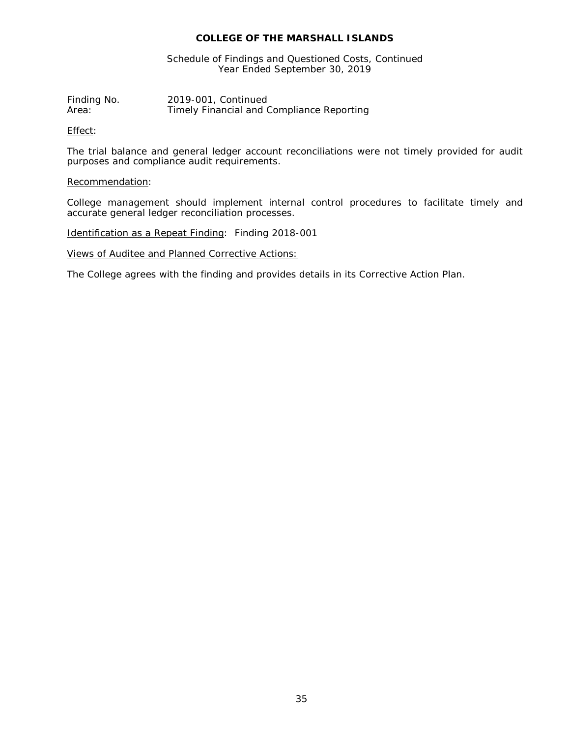Schedule of Findings and Questioned Costs, Continued Year Ended September 30, 2019

Finding No. 2019-001, Continued<br>Area: Timely Financial and C Timely Financial and Compliance Reporting

Effect:

The trial balance and general ledger account reconciliations were not timely provided for audit purposes and compliance audit requirements.

# Recommendation:

College management should implement internal control procedures to facilitate timely and accurate general ledger reconciliation processes.

Identification as a Repeat Finding: Finding 2018-001

Views of Auditee and Planned Corrective Actions: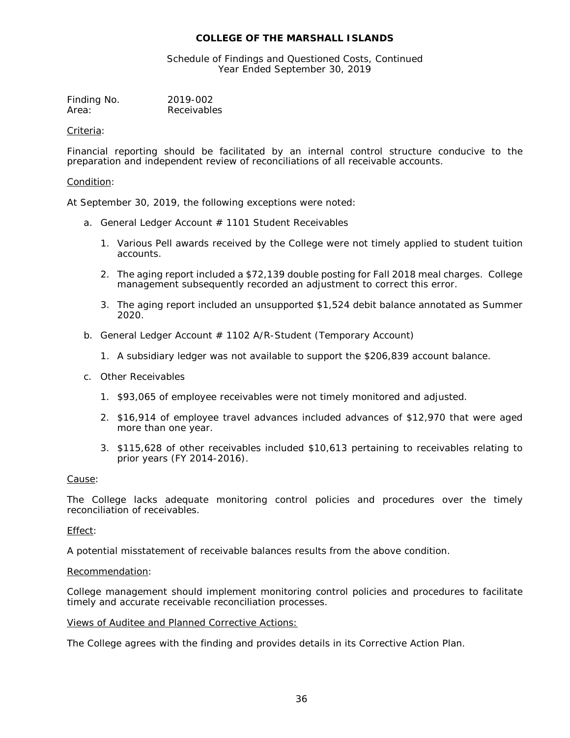Schedule of Findings and Questioned Costs, Continued Year Ended September 30, 2019

| Finding No. | 2019-002    |
|-------------|-------------|
| Area:       | Receivables |

# Criteria:

Financial reporting should be facilitated by an internal control structure conducive to the preparation and independent review of reconciliations of all receivable accounts.

# Condition:

At September 30, 2019, the following exceptions were noted:

- *a. General Ledger Account # 1101 Student Receivables*
	- 1. Various Pell awards received by the College were not timely applied to student tuition accounts.
	- 2. The aging report included a \$72,139 double posting for Fall 2018 meal charges. College management subsequently recorded an adjustment to correct this error.
	- 3. The aging report included an unsupported \$1,524 debit balance annotated as Summer 2020.
- *b. General Ledger Account # 1102 A/R-Student (Temporary Account)*
	- 1. A subsidiary ledger was not available to support the \$206,839 account balance.
- *c. Other Receivables*
	- 1. \$93,065 of employee receivables were not timely monitored and adjusted.
	- 2. \$16,914 of employee travel advances included advances of \$12,970 that were aged more than one year.
	- 3. \$115,628 of other receivables included \$10,613 pertaining to receivables relating to prior years (FY 2014-2016).

#### Cause:

The College lacks adequate monitoring control policies and procedures over the timely reconciliation of receivables.

#### Effect:

A potential misstatement of receivable balances results from the above condition.

## Recommendation:

College management should implement monitoring control policies and procedures to facilitate timely and accurate receivable reconciliation processes.

#### Views of Auditee and Planned Corrective Actions: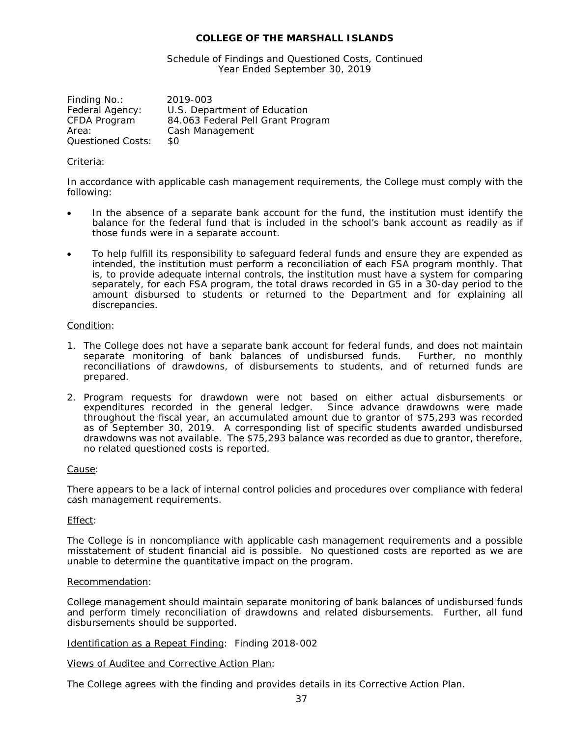Schedule of Findings and Questioned Costs, Continued Year Ended September 30, 2019

Finding No.: 2019-003 Federal Agency: U.S. Department of Education CFDA Program 84.063 Federal Pell Grant Program Area: Cash Management Questioned Costs: \$0

# Criteria:

In accordance with applicable cash management requirements, the College must comply with the following:

- In the absence of a separate bank account for the fund, the institution must identify the balance for the federal fund that is included in the school's bank account as readily as if those funds were in a separate account.
- To help fulfill its responsibility to safeguard federal funds and ensure they are expended as intended, the institution must perform a reconciliation of each FSA program monthly. That is, to provide adequate internal controls, the institution must have a system for comparing separately, for each FSA program, the total draws recorded in G5 in a 30-day period to the amount disbursed to students or returned to the Department and for explaining all discrepancies.

#### Condition:

- 1. The College does not have a separate bank account for federal funds, and does not maintain separate monitoring of bank balances of undisbursed funds. Further, no monthly reconciliations of drawdowns, of disbursements to students, and of returned funds are prepared.
- 2. Program requests for drawdown were not based on either actual disbursements or expenditures recorded in the general ledger. Since advance drawdowns were made throughout the fiscal year, an accumulated amount due to grantor of \$75,293 was recorded as of September 30, 2019. A corresponding list of specific students awarded undisbursed drawdowns was not available. The \$75,293 balance was recorded as due to grantor, therefore, no related questioned costs is reported.

#### Cause:

There appears to be a lack of internal control policies and procedures over compliance with federal cash management requirements.

#### Effect:

The College is in noncompliance with applicable cash management requirements and a possible misstatement of student financial aid is possible. No questioned costs are reported as we are unable to determine the quantitative impact on the program.

#### Recommendation:

College management should maintain separate monitoring of bank balances of undisbursed funds and perform timely reconciliation of drawdowns and related disbursements. Further, all fund disbursements should be supported.

# Identification as a Repeat Finding: Finding 2018-002

Views of Auditee and Corrective Action Plan: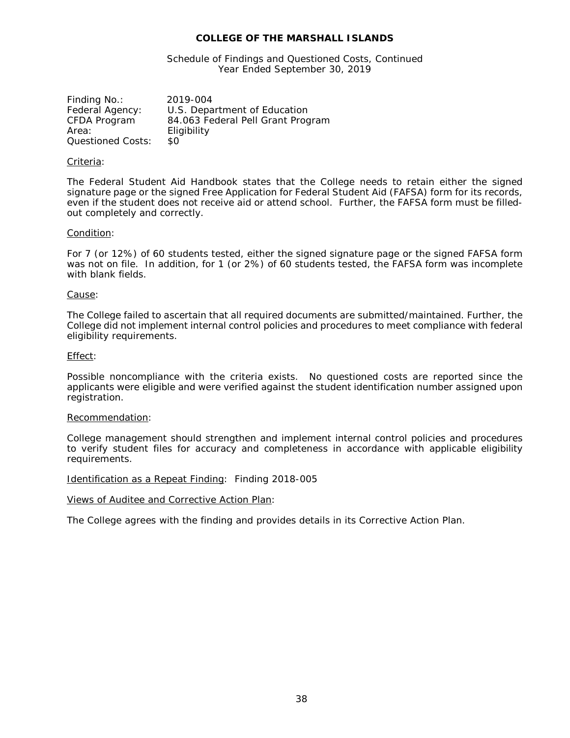Schedule of Findings and Questioned Costs, Continued Year Ended September 30, 2019

Finding No.: 2019-004 Federal Agency: U.S. Department of Education CFDA Program 84.063 Federal Pell Grant Program Area: Eligibility<br>Ouestioned Costs: \$0 Questioned Costs: \$0

## Criteria:

The Federal Student Aid Handbook states that the College needs to retain either the signed signature page or the signed Free Application for Federal Student Aid (FAFSA) form for its records, even if the student does not receive aid or attend school. Further, the FAFSA form must be filledout completely and correctly.

## Condition:

For 7 (or 12%) of 60 students tested, either the signed signature page or the signed FAFSA form was not on file. In addition, for 1 (or 2%) of 60 students tested, the FAFSA form was incomplete with blank fields.

## Cause:

The College failed to ascertain that all required documents are submitted/maintained. Further, the College did not implement internal control policies and procedures to meet compliance with federal eligibility requirements.

# Effect:

Possible noncompliance with the criteria exists. No questioned costs are reported since the applicants were eligible and were verified against the student identification number assigned upon registration.

#### Recommendation:

College management should strengthen and implement internal control policies and procedures to verify student files for accuracy and completeness in accordance with applicable eligibility requirements.

# Identification as a Repeat Finding: Finding 2018-005

## Views of Auditee and Corrective Action Plan: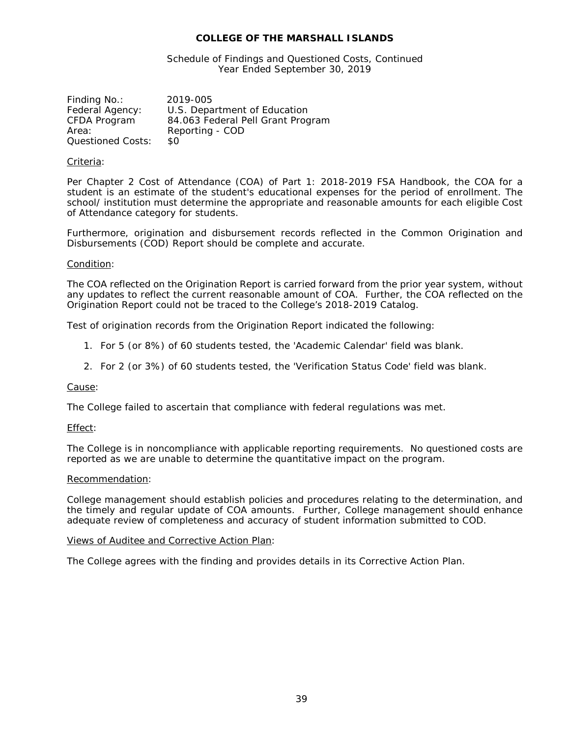Schedule of Findings and Questioned Costs, Continued Year Ended September 30, 2019

Finding No.: 2019-005 Federal Agency: U.S. Department of Education<br>CFDA Program 84.063 Federal Pell Grant Proc 84.063 Federal Pell Grant Program Area: Reporting - COD Questioned Costs: \$0

## Criteria:

Per Chapter 2 Cost of Attendance (COA) of Part 1: 2018-2019 FSA Handbook, the COA for a student is an estimate of the student's educational expenses for the period of enrollment. The school/ institution must determine the appropriate and reasonable amounts for each eligible Cost of Attendance category for students.

Furthermore, origination and disbursement records reflected in the Common Origination and Disbursements (COD) Report should be complete and accurate.

## Condition:

The COA reflected on the Origination Report is carried forward from the prior year system, without any updates to reflect the current reasonable amount of COA. Further, the COA reflected on the Origination Report could not be traced to the College's 2018-2019 Catalog.

Test of origination records from the Origination Report indicated the following:

- 1. For 5 (or 8%) of 60 students tested, the 'Academic Calendar' field was blank.
- 2. For 2 (or 3%) of 60 students tested, the 'Verification Status Code' field was blank.

#### Cause:

The College failed to ascertain that compliance with federal regulations was met.

#### Effect:

The College is in noncompliance with applicable reporting requirements. No questioned costs are reported as we are unable to determine the quantitative impact on the program.

#### Recommendation:

College management should establish policies and procedures relating to the determination, and the timely and regular update of COA amounts. Further, College management should enhance adequate review of completeness and accuracy of student information submitted to COD.

#### Views of Auditee and Corrective Action Plan: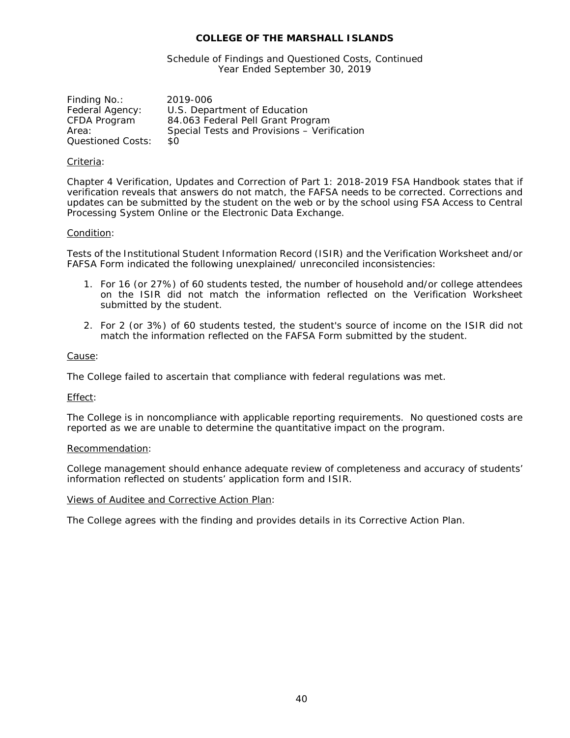Schedule of Findings and Questioned Costs, Continued Year Ended September 30, 2019

Finding No.: 2019-006 Federal Agency: U.S. Department of Education<br>CFDA Program 84.063 Federal Pell Grant Proc 84.063 Federal Pell Grant Program Area: Special Tests and Provisions – Verification Questioned Costs: \$0

# Criteria:

Chapter 4 Verification, Updates and Correction of Part 1: 2018-2019 FSA Handbook states that if verification reveals that answers do not match, the FAFSA needs to be corrected. Corrections and updates can be submitted by the student on the web or by the school using FSA Access to Central Processing System Online or the Electronic Data Exchange.

## Condition:

Tests of the Institutional Student Information Record (ISIR) and the Verification Worksheet and/or FAFSA Form indicated the following unexplained/ unreconciled inconsistencies:

- 1. For 16 (or 27%) of 60 students tested, the number of household and/or college attendees on the ISIR did not match the information reflected on the Verification Worksheet submitted by the student.
- 2. For 2 (or 3%) of 60 students tested, the student's source of income on the ISIR did not match the information reflected on the FAFSA Form submitted by the student.

## Cause:

The College failed to ascertain that compliance with federal regulations was met.

Effect:

The College is in noncompliance with applicable reporting requirements. No questioned costs are reported as we are unable to determine the quantitative impact on the program.

#### Recommendation:

College management should enhance adequate review of completeness and accuracy of students' information reflected on students' application form and ISIR.

Views of Auditee and Corrective Action Plan: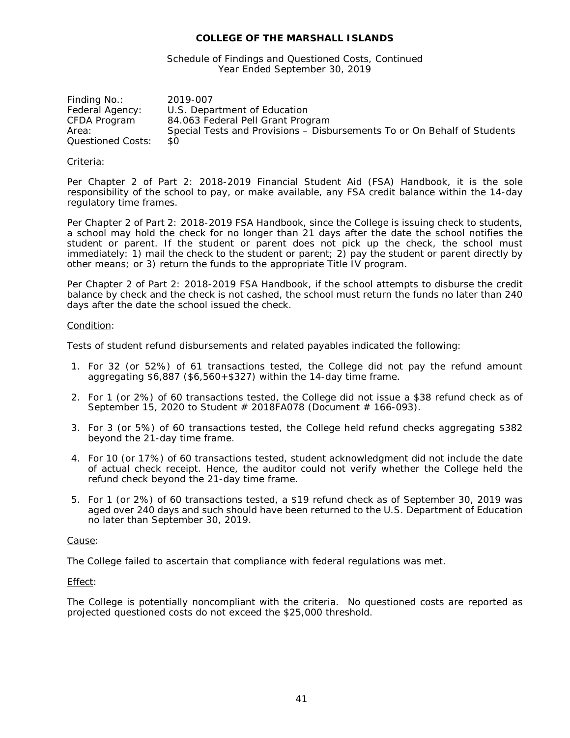Schedule of Findings and Questioned Costs, Continued Year Ended September 30, 2019

Finding No.: 2019-007 Federal Agency: U.S. Department of Education CFDA Program 84.063 Federal Pell Grant Program Area: Special Tests and Provisions – Disbursements To or On Behalf of Students Questioned Costs: \$0

# Criteria:

Per Chapter 2 of Part 2: 2018-2019 Financial Student Aid (FSA) Handbook, it is the sole responsibility of the school to pay, or make available, any FSA credit balance within the 14-day regulatory time frames.

Per Chapter 2 of Part 2: 2018-2019 FSA Handbook, since the College is issuing check to students, a school may hold the check for no longer than 21 days after the date the school notifies the student or parent. If the student or parent does not pick up the check, the school must immediately: 1) mail the check to the student or parent; 2) pay the student or parent directly by other means; or 3) return the funds to the appropriate Title IV program.

Per Chapter 2 of Part 2: 2018-2019 FSA Handbook, if the school attempts to disburse the credit balance by check and the check is not cashed, the school must return the funds no later than 240 days after the date the school issued the check.

## Condition:

Tests of student refund disbursements and related payables indicated the following:

- 1. For 32 (or 52%) of 61 transactions tested, the College did not pay the refund amount aggregating \$6,887 (\$6,560+\$327) within the 14-day time frame.
- 2. For 1 (or 2%) of 60 transactions tested, the College did not issue a \$38 refund check as of September 15, 2020 to Student # 2018FA078 (Document # 166-093).
- 3. For 3 (or 5%) of 60 transactions tested, the College held refund checks aggregating \$382 beyond the 21-day time frame.
- 4. For 10 (or 17%) of 60 transactions tested, student acknowledgment did not include the date of actual check receipt. Hence, the auditor could not verify whether the College held the refund check beyond the 21-day time frame.
- 5. For 1 (or 2%) of 60 transactions tested, a \$19 refund check as of September 30, 2019 was aged over 240 days and such should have been returned to the U.S. Department of Education no later than September 30, 2019.

#### Cause:

The College failed to ascertain that compliance with federal regulations was met.

# Effect:

The College is potentially noncompliant with the criteria. No questioned costs are reported as projected questioned costs do not exceed the \$25,000 threshold.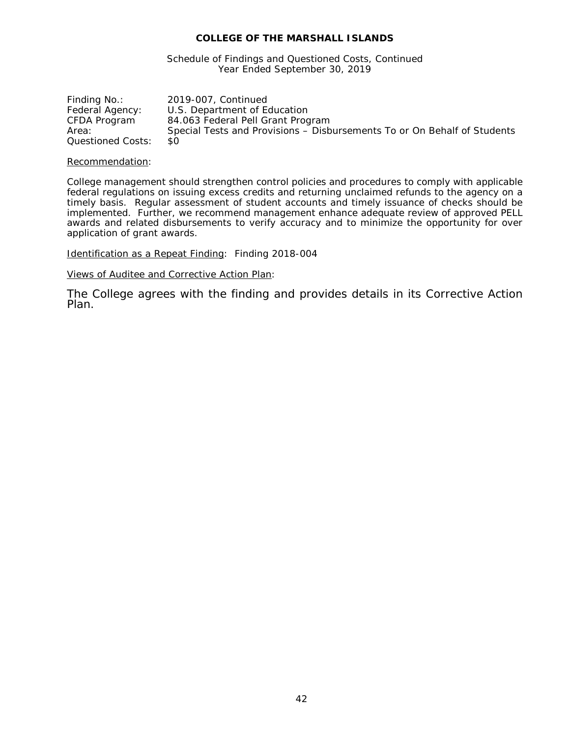Schedule of Findings and Questioned Costs, Continued Year Ended September 30, 2019

Finding No.: 2019-007, Continued<br>Federal Agency: U.S. Department of Equation Federal Agency: U.S. Department of Education<br>CFDA Program 84.063 Federal Pell Grant Proc CFDA Program 84.063 Federal Pell Grant Program<br>Area: Special Tests and Provisions – Dish Special Tests and Provisions – Disbursements To or On Behalf of Students \$0 Questioned Costs: \$0

## Recommendation:

College management should strengthen control policies and procedures to comply with applicable federal regulations on issuing excess credits and returning unclaimed refunds to the agency on a timely basis. Regular assessment of student accounts and timely issuance of checks should be implemented. Further, we recommend management enhance adequate review of approved PELL awards and related disbursements to verify accuracy and to minimize the opportunity for over application of grant awards.

## Identification as a Repeat Finding: Finding 2018-004

Views of Auditee and Corrective Action Plan: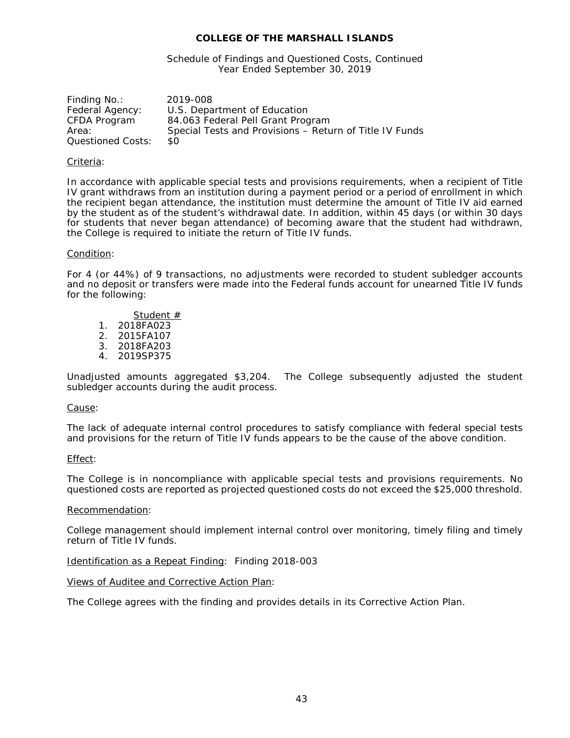Schedule of Findings and Questioned Costs, Continued Year Ended September 30, 2019

Finding No.: 2019-008 Federal Agency: U.S. Department of Education CFDA Program 84.063 Federal Pell Grant Program Area: Special Tests and Provisions – Return of Title IV Funds Questioned Costs: \$0

# Criteria:

In accordance with applicable special tests and provisions requirements, when a recipient of Title IV grant withdraws from an institution during a payment period or a period of enrollment in which the recipient began attendance, the institution must determine the amount of Title IV aid earned by the student as of the student's withdrawal date. In addition, within 45 days (or within 30 days for students that never began attendance) of becoming aware that the student had withdrawn, the College is required to initiate the return of Title IV funds.

## Condition:

For 4 (or 44%) of 9 transactions, no adjustments were recorded to student subledger accounts and no deposit or transfers were made into the Federal funds account for unearned Title IV funds for the following:

- Student #
- 1. 2018FA023
- 2. 2015FA107
- 3. 2018FA203
- 4. 2019SP375

Unadjusted amounts aggregated \$3,204. The College subsequently adjusted the student subledger accounts during the audit process.

#### Cause:

The lack of adequate internal control procedures to satisfy compliance with federal special tests and provisions for the return of Title IV funds appears to be the cause of the above condition.

# Effect:

The College is in noncompliance with applicable special tests and provisions requirements. No questioned costs are reported as projected questioned costs do not exceed the \$25,000 threshold.

# Recommendation:

College management should implement internal control over monitoring, timely filing and timely return of Title IV funds.

# Identification as a Repeat Finding: Finding 2018-003

# Views of Auditee and Corrective Action Plan: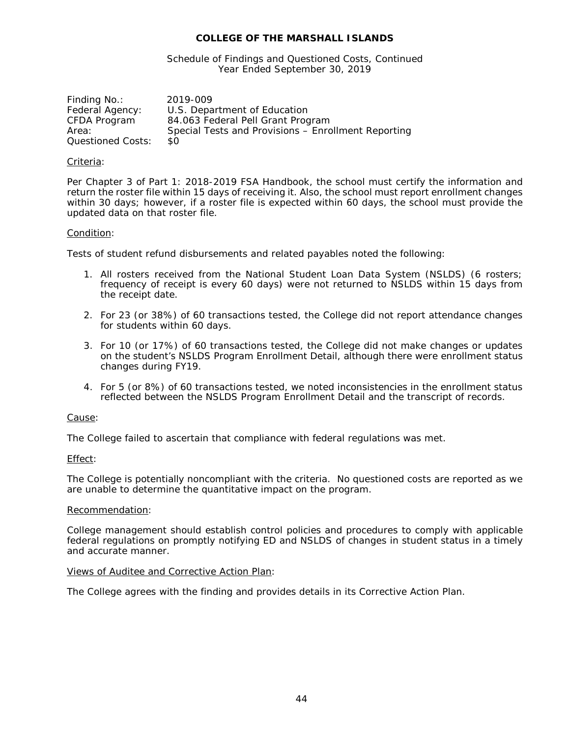Schedule of Findings and Questioned Costs, Continued Year Ended September 30, 2019

Finding No.: 2019-009 Federal Agency: U.S. Department of Education CFDA Program 84.063 Federal Pell Grant Program Area: Special Tests and Provisions – Enrollment Reporting Questioned Costs: \$0

# Criteria:

Per Chapter 3 of Part 1: 2018-2019 FSA Handbook, the school must certify the information and return the roster file within 15 days of receiving it. Also, the school must report enrollment changes within 30 days; however, if a roster file is expected within 60 days, the school must provide the updated data on that roster file.

## Condition:

Tests of student refund disbursements and related payables noted the following:

- 1. All rosters received from the National Student Loan Data System (NSLDS) (6 rosters; frequency of receipt is every 60 days) were not returned to NSLDS within 15 days from the receipt date.
- 2. For 23 (or 38%) of 60 transactions tested, the College did not report attendance changes for students within 60 days.
- 3. For 10 (or 17%) of 60 transactions tested, the College did not make changes or updates on the student's NSLDS Program Enrollment Detail, although there were enrollment status changes during FY19.
- 4. For 5 (or 8%) of 60 transactions tested, we noted inconsistencies in the enrollment status reflected between the NSLDS Program Enrollment Detail and the transcript of records.

#### Cause:

The College failed to ascertain that compliance with federal regulations was met.

# Effect:

The College is potentially noncompliant with the criteria. No questioned costs are reported as we are unable to determine the quantitative impact on the program.

#### Recommendation:

College management should establish control policies and procedures to comply with applicable federal regulations on promptly notifying ED and NSLDS of changes in student status in a timely and accurate manner.

#### Views of Auditee and Corrective Action Plan: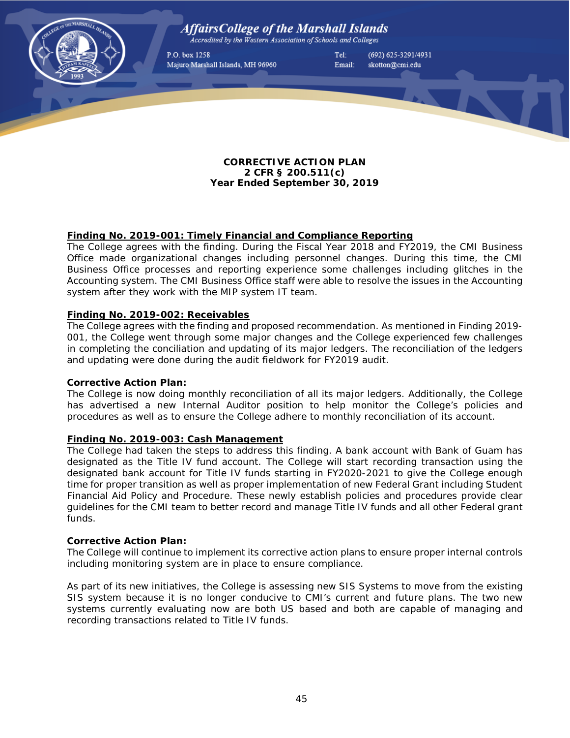

# AffairsCollege of the Marshall Islands

Accredited by the Western Association of Schools and Colleges

P.O. box 1258 Majuro Marshall Islands, MH 96960

(692) 625-3291/4931 Email: skotton@cmi.edu

Tel:

**CORRECTIVE ACTION PLAN 2 CFR § 200.511(c) Year Ended September 30, 2019**

# **Finding No. 2019-001: Timely Financial and Compliance Reporting**

The College agrees with the finding. During the Fiscal Year 2018 and FY2019, the CMI Business Office made organizational changes including personnel changes. During this time, the CMI Business Office processes and reporting experience some challenges including glitches in the Accounting system. The CMI Business Office staff were able to resolve the issues in the Accounting system after they work with the MIP system IT team.

# **Finding No. 2019-002: Receivables**

The College agrees with the finding and proposed recommendation. As mentioned in Finding 2019- 001, the College went through some major changes and the College experienced few challenges in completing the conciliation and updating of its major ledgers. The reconciliation of the ledgers and updating were done during the audit fieldwork for FY2019 audit.

# *Corrective Action Plan:*

The College is now doing monthly reconciliation of all its major ledgers. Additionally, the College has advertised a new Internal Auditor position to help monitor the College's policies and procedures as well as to ensure the College adhere to monthly reconciliation of its account.

# **Finding No. 2019-003: Cash Management**

The College had taken the steps to address this finding. A bank account with Bank of Guam has designated as the Title IV fund account. The College will start recording transaction using the designated bank account for Title IV funds starting in FY2020-2021 to give the College enough time for proper transition as well as proper implementation of new Federal Grant including Student Financial Aid Policy and Procedure. These newly establish policies and procedures provide clear guidelines for the CMI team to better record and manage Title IV funds and all other Federal grant funds.

# *Corrective Action Plan:*

The College will continue to implement its *corrective action plans* to ensure proper internal controls including monitoring system are in place to ensure compliance.

As part of its new initiatives, the College is assessing new SIS Systems to move from the existing SIS system because it is no longer conducive to CMI's current and future plans. The two new systems currently evaluating now are both US based and both are capable of managing and recording transactions related to Title IV funds.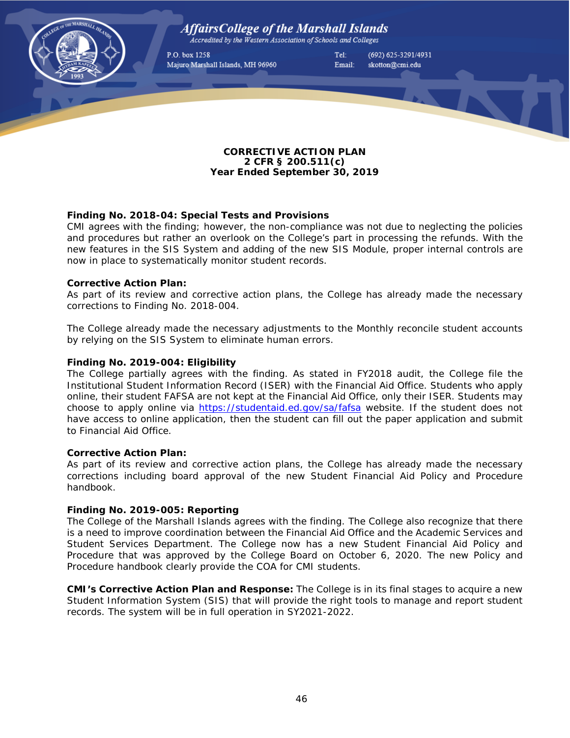

# **Finding No. 2018-04: Special Tests and Provisions**

CMI agrees with the finding; however, the non-compliance was not due to neglecting the policies and procedures but rather an overlook on the College's part in processing the refunds. With the new features in the SIS System and adding of the new SIS Module, proper internal controls are now in place to systematically monitor student records.

# *Corrective Action Plan:*

As part of its review and corrective action plans, the College has already made the necessary corrections to *Finding No. 2018-004.*

The College already made the necessary adjustments to the Monthly reconcile student accounts by relying on the SIS System to eliminate human errors.

# **Finding No. 2019-004: Eligibility**

The College partially agrees with the finding. As stated in FY2018 audit, the College file the Institutional Student Information Record (ISER) with the Financial Aid Office. Students who apply online, their student FAFSA are not kept at the Financial Aid Office, only their ISER. Students may choose to apply online via<https://studentaid.ed.gov/sa/fafsa> website. If the student does not have access to online application, then the student can fill out the paper application and submit to Financial Aid Office.

# *Corrective Action Plan:*

As part of its review and corrective action plans, the College has already made the necessary corrections including board approval of the new Student Financial Aid Policy and Procedure handbook.

# **Finding No. 2019-005: Reporting**

The College of the Marshall Islands agrees with the finding. The College also recognize that there is a need to improve coordination between the Financial Aid Office and the Academic Services and Student Services Department. The College now has a new Student Financial Aid Policy and Procedure that was approved by the College Board on October 6, 2020. The new Policy and Procedure handbook clearly provide the COA for CMI students.

*CMI's Corrective Action Plan and Response:* The College is in its final stages to acquire a new Student Information System (SIS) that will provide the right tools to manage and report student records. The system will be in full operation in SY2021-2022.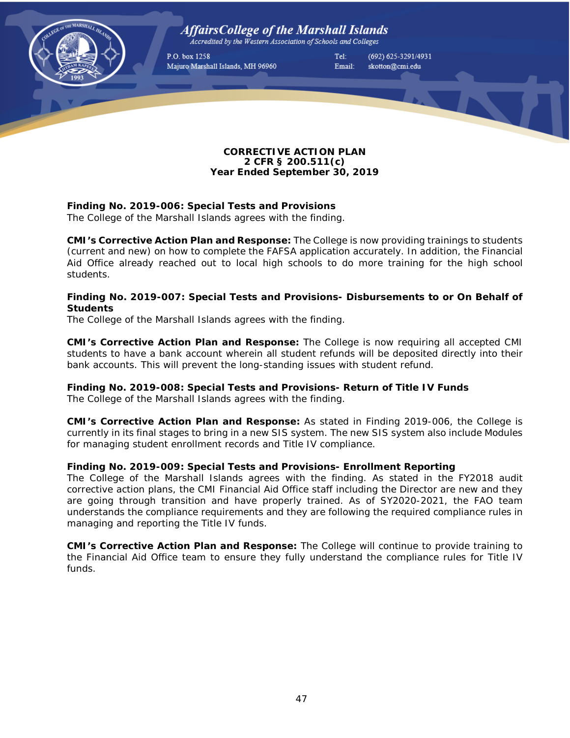

# **Finding No. 2019-006: Special Tests and Provisions**

The College of the Marshall Islands agrees with the finding.

*CMI's Corrective Action Plan and Response:* The College is now providing trainings to students (current and new) on how to complete the FAFSA application accurately. In addition, the Financial Aid Office already reached out to local high schools to do more training for the high school students.

# **Finding No. 2019-007: Special Tests and Provisions- Disbursements to or On Behalf of Students**

The College of the Marshall Islands agrees with the finding.

*CMI's Corrective Action Plan and Response:* The College is now requiring all accepted CMI students to have a bank account wherein all student refunds will be deposited directly into their bank accounts. This will prevent the long-standing issues with student refund.

# **Finding No. 2019-008: Special Tests and Provisions- Return of Title IV Funds**

The College of the Marshall Islands agrees with the finding.

*CMI's Corrective Action Plan and Response:* As stated in Finding 2019-006, the College is currently in its final stages to bring in a new SIS system. The new SIS system also include Modules for managing student enrollment records and Title IV compliance.

# **Finding No. 2019-009: Special Tests and Provisions- Enrollment Reporting**

The College of the Marshall Islands agrees with the finding. As stated in the FY2018 audit corrective action plans, the CMI Financial Aid Office staff including the Director are new and they are going through transition and have properly trained. As of SY2020-2021, the FAO team understands the compliance requirements and they are following the required compliance rules in managing and reporting the Title IV funds.

*CMI's Corrective Action Plan and Response:* The College will continue to provide training to the Financial Aid Office team to ensure they fully understand the compliance rules for Title IV funds.